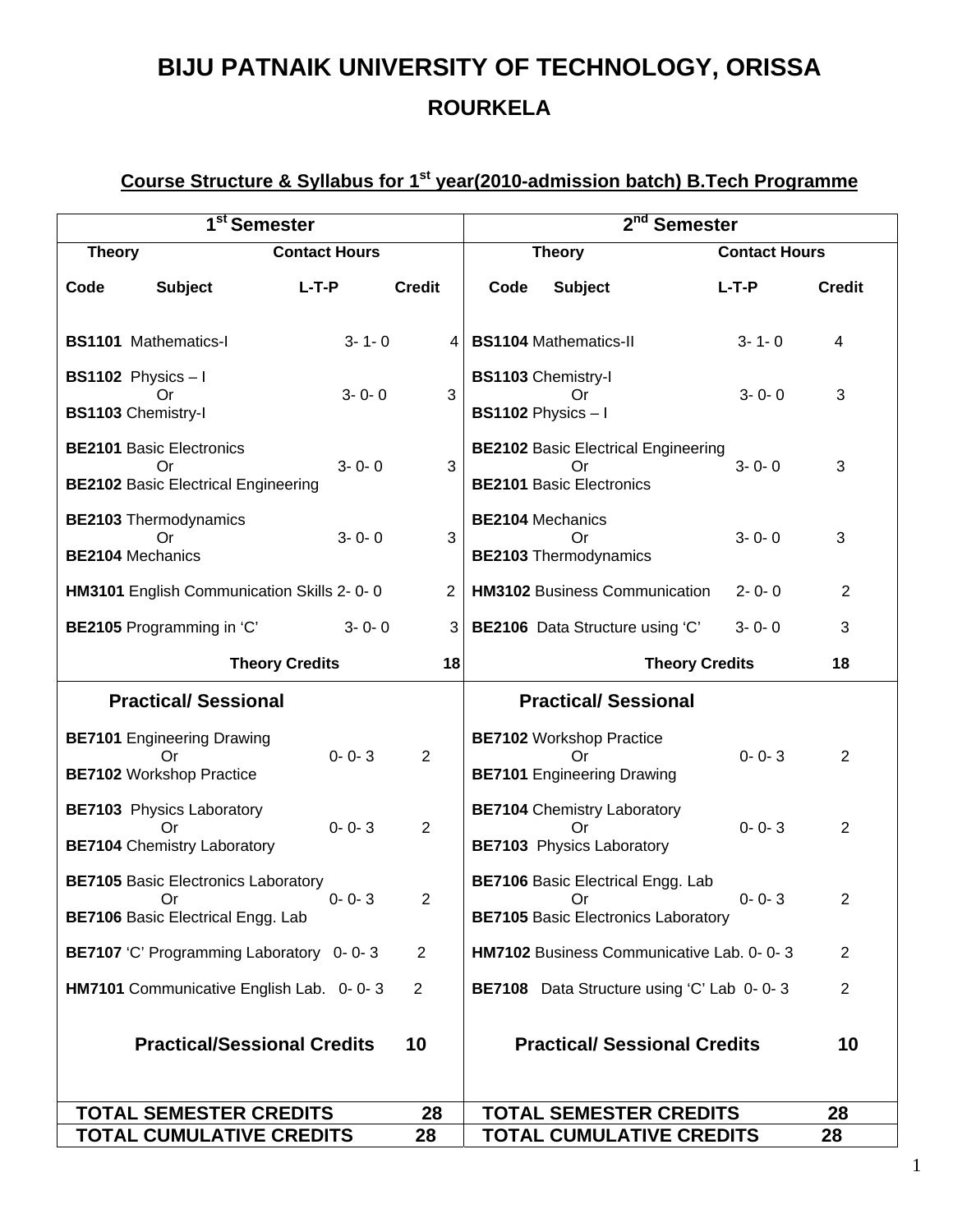## **BIJU PATNAIK UNIVERSITY OF TECHNOLOGY, ORISSA ROURKELA**

## **Course Structure & Syllabus for 1st year(2010-admission batch) B.Tech Programme**

| 1 <sup>st</sup> Semester                                                                     |                                    |             |                |                               | $2^{\overline{\text{nd}}}$<br><b>Semester</b>                                                |                       |                      |                |  |
|----------------------------------------------------------------------------------------------|------------------------------------|-------------|----------------|-------------------------------|----------------------------------------------------------------------------------------------|-----------------------|----------------------|----------------|--|
| <b>Theory</b>                                                                                | <b>Contact Hours</b>               |             |                | <b>Theory</b>                 |                                                                                              |                       | <b>Contact Hours</b> |                |  |
| <b>Subject</b><br>Code                                                                       | $L-T-P$                            |             | <b>Credit</b>  | Code                          | <b>Subject</b>                                                                               | $L-T-P$               |                      | <b>Credit</b>  |  |
| <b>BS1101</b> Mathematics-I                                                                  |                                    | $3 - 1 - 0$ | 4              |                               | <b>BS1104 Mathematics-II</b>                                                                 |                       | $3 - 1 - 0$          | 4              |  |
| <b>BS1102</b> Physics $-1$<br>Or<br><b>BS1103 Chemistry-I</b>                                |                                    | $3 - 0 - 0$ | 3              |                               | <b>BS1103 Chemistry-I</b><br>Or<br><b>BS1102</b> Physics $-1$                                |                       | $3 - 0 - 0$          | 3              |  |
| <b>BE2101 Basic Electronics</b><br>Or<br><b>BE2102 Basic Electrical Engineering</b>          |                                    | $3 - 0 - 0$ | 3              |                               | <b>BE2102 Basic Electrical Engineering</b><br>Or<br><b>BE2101 Basic Electronics</b>          |                       | $3 - 0 - 0$          | 3              |  |
| <b>BE2103</b> Thermodynamics<br>Οr<br><b>BE2104 Mechanics</b>                                |                                    | $3 - 0 - 0$ | 3              |                               | <b>BE2104 Mechanics</b><br>Or<br><b>BE2103</b> Thermodynamics                                |                       | $3 - 0 - 0$          | 3              |  |
| HM3101 English Communication Skills 2-0-0                                                    |                                    |             | $\overline{2}$ |                               | <b>HM3102 Business Communication</b>                                                         |                       | $2 - 0 - 0$          | $\overline{2}$ |  |
| BE2105 Programming in 'C'                                                                    |                                    | $3 - 0 - 0$ | 3              |                               | BE2106 Data Structure using 'C'                                                              |                       | $3 - 0 - 0$          | 3              |  |
| <b>Theory Credits</b><br>18                                                                  |                                    |             |                |                               |                                                                                              | <b>Theory Credits</b> |                      | 18             |  |
| <b>Practical/Sessional</b>                                                                   |                                    |             |                |                               | <b>Practical/ Sessional</b>                                                                  |                       |                      |                |  |
| <b>BE7101</b> Engineering Drawing<br>Or<br><b>BE7102 Workshop Practice</b>                   |                                    | $0 - 0 - 3$ | $\overline{2}$ |                               | <b>BE7102 Workshop Practice</b><br>Or<br><b>BE7101</b> Engineering Drawing                   |                       | $0 - 0 - 3$          | $\overline{2}$ |  |
| <b>BE7103</b> Physics Laboratory<br>Or<br><b>BE7104</b> Chemistry Laboratory                 |                                    | $0 - 0 - 3$ | $\overline{2}$ |                               | <b>BE7104</b> Chemistry Laboratory<br>Οr<br><b>BE7103</b> Physics Laboratory                 |                       | $0 - 0 - 3$          | 2              |  |
| <b>BE7105 Basic Electronics Laboratory</b><br>Or<br><b>BE7106 Basic Electrical Engg. Lab</b> |                                    | $0 - 0 - 3$ | 2              |                               | <b>BE7106 Basic Electrical Engg. Lab</b><br>Or<br><b>BE7105</b> Basic Electronics Laboratory |                       | $0 - 0 - 3$          | $\overline{c}$ |  |
| BE7107 'C' Programming Laboratory 0-0-3                                                      |                                    |             | $\overline{2}$ |                               | HM7102 Business Communicative Lab. 0-0-3                                                     |                       |                      | 2              |  |
| HM7101 Communicative English Lab. 0-0-3                                                      |                                    |             | $\overline{2}$ |                               | BE7108 Data Structure using 'C' Lab 0-0-3                                                    |                       |                      | $\overline{2}$ |  |
|                                                                                              | <b>Practical/Sessional Credits</b> |             | 10             |                               | <b>Practical/ Sessional Credits</b>                                                          |                       |                      | 10             |  |
| <b>TOTAL SEMESTER CREDITS</b>                                                                |                                    |             | 28             | <b>TOTAL SEMESTER CREDITS</b> |                                                                                              |                       | 28                   |                |  |
|                                                                                              | <b>TOTAL CUMULATIVE CREDITS</b>    |             | 28             |                               | <b>TOTAL CUMULATIVE CREDITS</b>                                                              |                       |                      | 28             |  |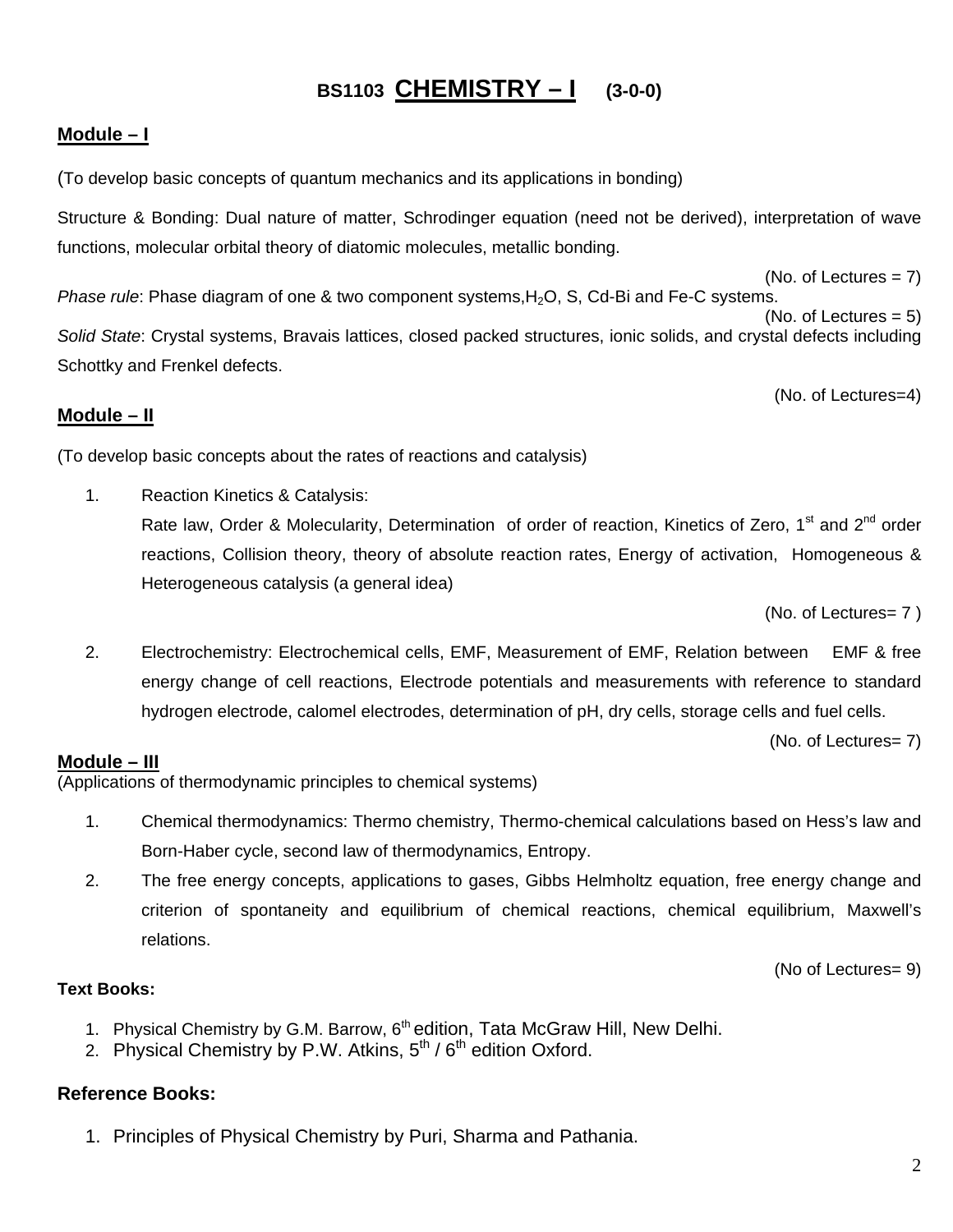## **BS1103 CHEMISTRY – I (3-0-0)**

#### **Module – I**

(To develop basic concepts of quantum mechanics and its applications in bonding)

Structure & Bonding: Dual nature of matter, Schrodinger equation (need not be derived), interpretation of wave functions, molecular orbital theory of diatomic molecules, metallic bonding.

 $(No. of Lectures = 7)$ *Phase rule*: Phase diagram of one & two component systems, H<sub>2</sub>O, S, Cd-Bi and Fe-C systems. (No. of Lectures  $= 5$ ) *Solid State*: Crystal systems, Bravais lattices, closed packed structures, ionic solids, and crystal defects including Schottky and Frenkel defects.

(No. of Lectures=4)

#### **Module – II**

(To develop basic concepts about the rates of reactions and catalysis)

1. Reaction Kinetics & Catalysis: Rate law, Order & Molecularity, Determination of order of reaction, Kinetics of Zero, 1<sup>st</sup> and 2<sup>nd</sup> order reactions, Collision theory, theory of absolute reaction rates, Energy of activation, Homogeneous & Heterogeneous catalysis (a general idea)

(No. of Lectures= 7 )

2. Electrochemistry: Electrochemical cells, EMF, Measurement of EMF, Relation between EMF & free energy change of cell reactions, Electrode potentials and measurements with reference to standard hydrogen electrode, calomel electrodes, determination of pH, dry cells, storage cells and fuel cells.

(No. of Lectures= 7)

#### **Module – III**

(Applications of thermodynamic principles to chemical systems)

- 1. Chemical thermodynamics: Thermo chemistry, Thermo-chemical calculations based on Hess's law and Born-Haber cycle, second law of thermodynamics, Entropy.
- 2. The free energy concepts, applications to gases, Gibbs Helmholtz equation, free energy change and criterion of spontaneity and equilibrium of chemical reactions, chemical equilibrium, Maxwell's relations.

(No of Lectures= 9)

#### **Text Books:**

- 1. Physical Chemistry by G.M. Barrow, 6<sup>th</sup> edition, Tata McGraw Hill, New Delhi.
- 2. Physical Chemistry by P.W. Atkins,  $5<sup>th</sup> / 6<sup>th</sup>$  edition Oxford.

#### **Reference Books:**

1. Principles of Physical Chemistry by Puri, Sharma and Pathania.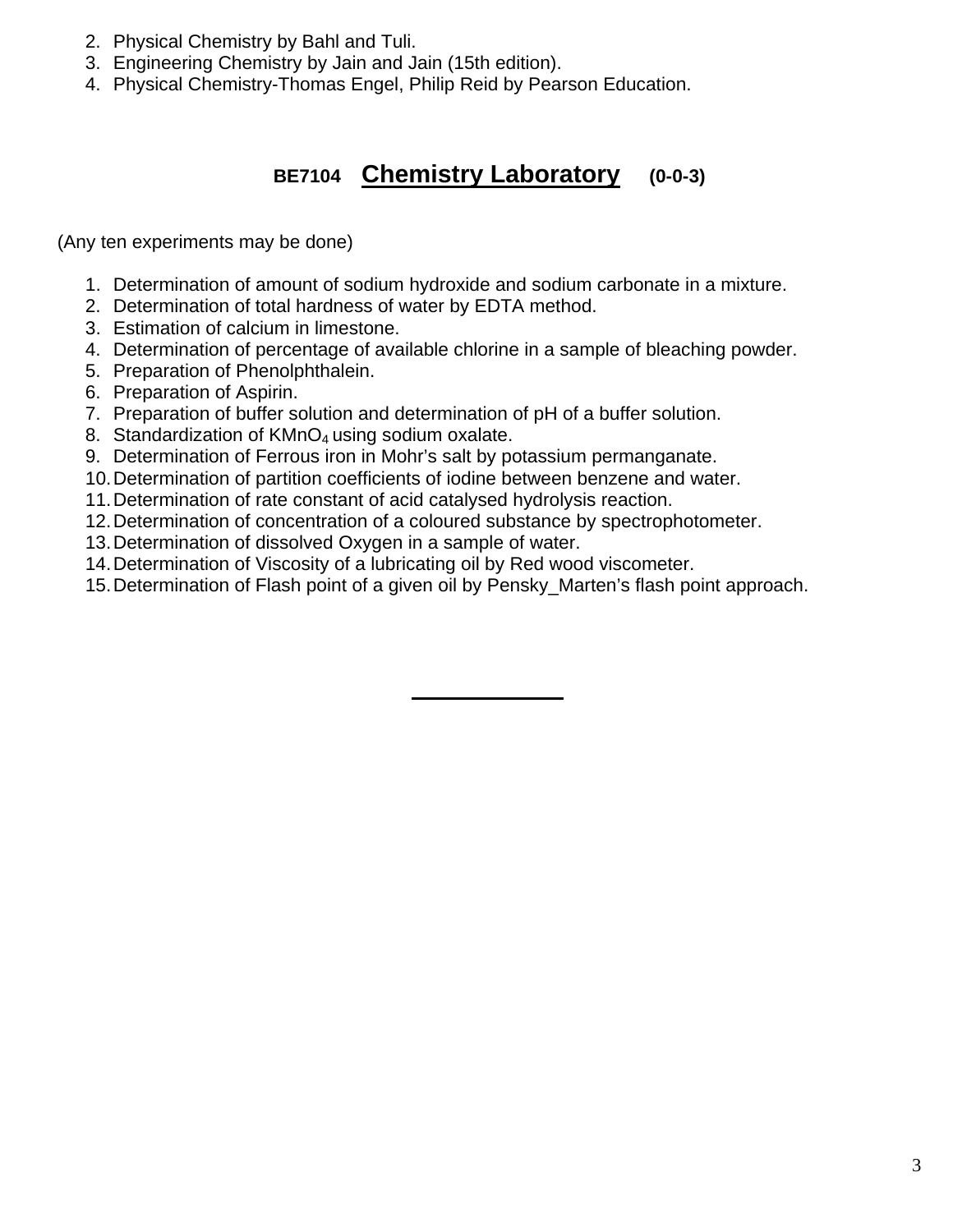- 2. Physical Chemistry by Bahl and Tuli.
- 3. Engineering Chemistry by Jain and Jain (15th edition).
- 4. Physical Chemistry-Thomas Engel, Philip Reid by Pearson Education.

## **BE7104 Chemistry Laboratory (0-0-3)**

(Any ten experiments may be done)

- 1. Determination of amount of sodium hydroxide and sodium carbonate in a mixture.
- 2. Determination of total hardness of water by EDTA method.
- 3. Estimation of calcium in limestone.
- 4. Determination of percentage of available chlorine in a sample of bleaching powder.
- 5. Preparation of Phenolphthalein.
- 6. Preparation of Aspirin.
- 7. Preparation of buffer solution and determination of pH of a buffer solution.
- 8. Standardization of KMnO<sub>4</sub> using sodium oxalate.
- 9. Determination of Ferrous iron in Mohr's salt by potassium permanganate.
- 10. Determination of partition coefficients of iodine between benzene and water.
- 11. Determination of rate constant of acid catalysed hydrolysis reaction.
- 12. Determination of concentration of a coloured substance by spectrophotometer.
- 13. Determination of dissolved Oxygen in a sample of water.
- 14. Determination of Viscosity of a lubricating oil by Red wood viscometer.
- 15. Determination of Flash point of a given oil by Pensky\_Marten's flash point approach.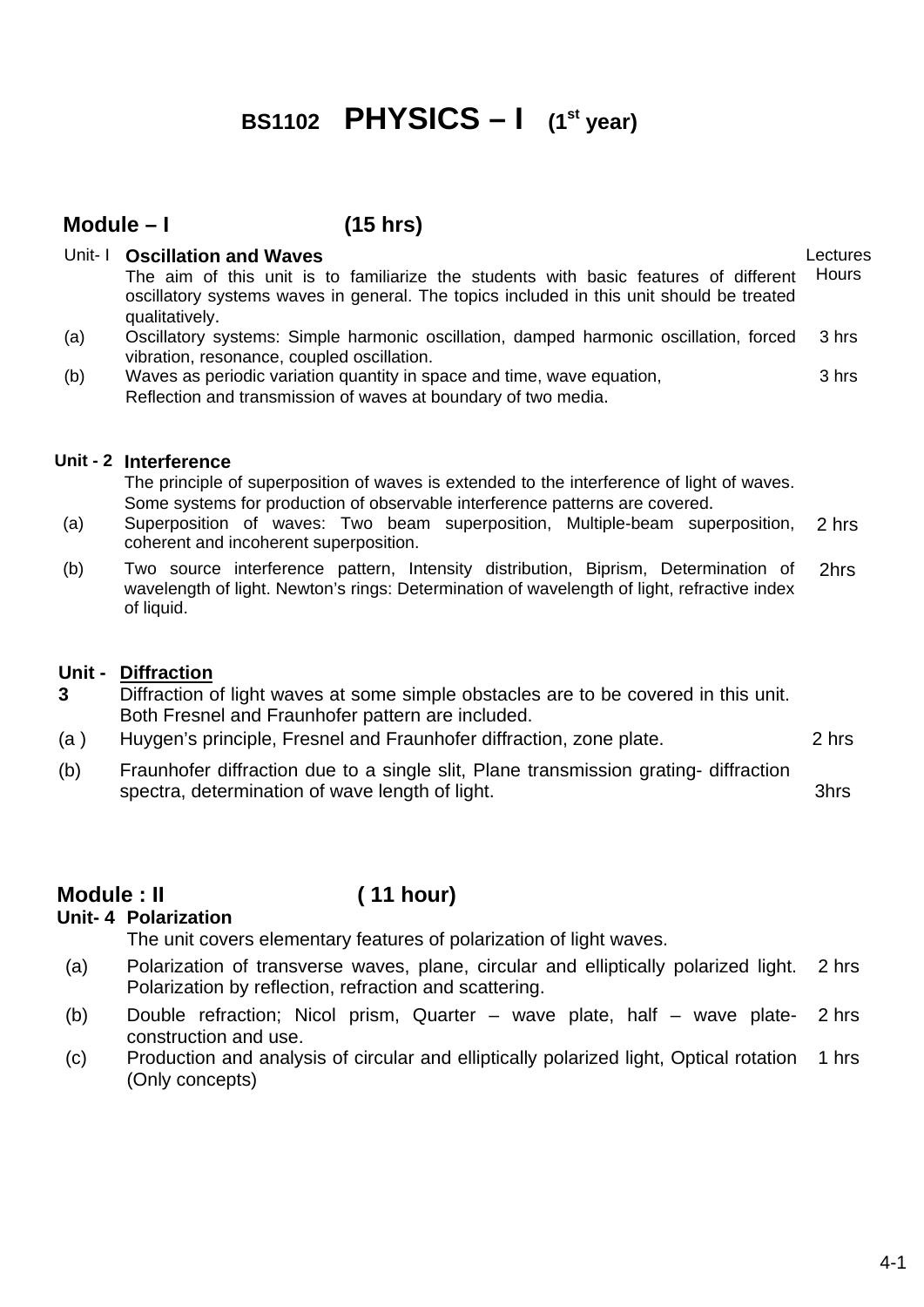## **BS1102 PHYSICS - I** (1<sup>st</sup> year)

#### **Module – I (15 hrs)**

| Unit-1 | <b>Oscillation and Waves</b><br>The aim of this unit is to familiarize the students with basic features of different<br>oscillatory systems waves in general. The topics included in this unit should be treated<br>qualitatively. | Lectures<br>Hours |
|--------|------------------------------------------------------------------------------------------------------------------------------------------------------------------------------------------------------------------------------------|-------------------|
| (a)    | Oscillatory systems: Simple harmonic oscillation, damped harmonic oscillation, forced<br>vibration, resonance, coupled oscillation.                                                                                                | 3 hrs             |
| (b)    | Waves as periodic variation quantity in space and time, wave equation,<br>Reflection and transmission of waves at boundary of two media.                                                                                           | 3 hrs             |
|        | Unit - 2 Interference<br>The principle of superposition of waves is extended to the interference of light of waves.<br>Some systems for production of observable interference patterns are covered.                                |                   |

- (a) Superposition of waves: Two beam superposition, Multiple-beam superposition, coherent and incoherent superposition. 2 hrs
- (b) Two source interference pattern, Intensity distribution, Biprism, Determination of wavelength of light. Newton's rings: Determination of wavelength of light, refractive index of liquid. 2hrs

#### **Unit - Diffraction**

- **3**  Diffraction of light waves at some simple obstacles are to be covered in this unit. Both Fresnel and Fraunhofer pattern are included.
- (a ) Huygen's principle, Fresnel and Fraunhofer diffraction, zone plate. 2 hrs
- (b) Fraunhofer diffraction due to a single slit, Plane transmission grating- diffraction spectra, determination of wave length of light.  $\blacksquare$

#### **Module : II ( 11 hour)**

#### **Unit- 4 Polarization**

The unit covers elementary features of polarization of light waves.

- (a) Polarization of transverse waves, plane, circular and elliptically polarized light. Polarization by reflection, refraction and scattering. 2 hrs
- (b) Double refraction; Nicol prism, Quarter wave plate, half wave plateconstruction and use. 2 hrs
- (c) Production and analysis of circular and elliptically polarized light, Optical rotation (Only concepts) 1 hrs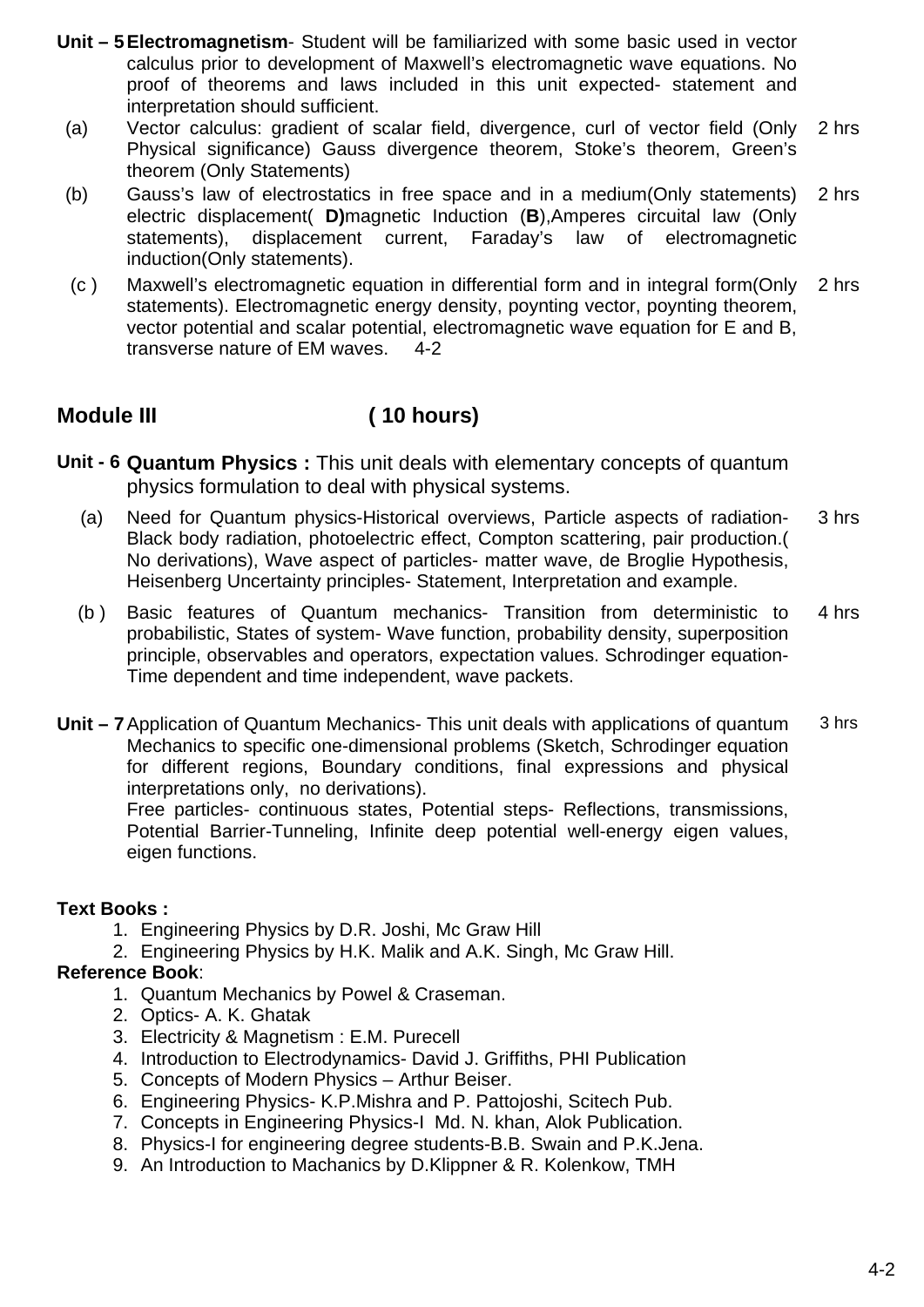- **Unit 5Electromagnetism** Student will be familiarized with some basic used in vector calculus prior to development of Maxwell's electromagnetic wave equations. No proof of theorems and laws included in this unit expected- statement and interpretation should sufficient.
- (a) Vector calculus: gradient of scalar field, divergence, curl of vector field (Only Physical significance) Gauss divergence theorem, Stoke's theorem, Green's theorem (Only Statements) 2 hrs
- (b) Gauss's law of electrostatics in free space and in a medium(Only statements) electric displacement( **D)**magnetic Induction (**B**),Amperes circuital law (Only statements), displacement current, Faraday's law of electromagnetic induction(Only statements). 2 hrs
- (c) Maxwell's electromagnetic equation in differential form and in integral form(Only 2 hrs statements). Electromagnetic energy density, poynting vector, poynting theorem, vector potential and scalar potential, electromagnetic wave equation for E and B, transverse nature of EM waves. 4-2

## **Module III ( 10 hours)**

- **Unit 6 Quantum Physics :** This unit deals with elementary concepts of quantum physics formulation to deal with physical systems.
	- (a) Need for Quantum physics-Historical overviews, Particle aspects of radiation-Black body radiation, photoelectric effect, Compton scattering, pair production.( No derivations), Wave aspect of particles- matter wave, de Broglie Hypothesis, Heisenberg Uncertainty principles- Statement, Interpretation and example. 3 hrs
	- (b ) Basic features of Quantum mechanics- Transition from deterministic to probabilistic, States of system- Wave function, probability density, superposition principle, observables and operators, expectation values. Schrodinger equation-Time dependent and time independent, wave packets. 4 hrs
- **Unit 7**Application of Quantum Mechanics- This unit deals with applications of quantum Mechanics to specific one-dimensional problems (Sketch, Schrodinger equation for different regions, Boundary conditions, final expressions and physical interpretations only, no derivations). 3 hrs

Free particles- continuous states, Potential steps- Reflections, transmissions, Potential Barrier-Tunneling, Infinite deep potential well-energy eigen values, eigen functions.

#### **Text Books :**

- 1. Engineering Physics by D.R. Joshi, Mc Graw Hill
- 2. Engineering Physics by H.K. Malik and A.K. Singh, Mc Graw Hill.

#### **Reference Book**:

- 1. Quantum Mechanics by Powel & Craseman.
- 2. Optics- A. K. Ghatak
- 3. Electricity & Magnetism : E.M. Purecell
- 4. Introduction to Electrodynamics- David J. Griffiths, PHI Publication
- 5. Concepts of Modern Physics Arthur Beiser.
- 6. Engineering Physics- K.P.Mishra and P. Pattojoshi, Scitech Pub.
- 7. Concepts in Engineering Physics-I Md. N. khan, Alok Publication.
- 8. Physics-I for engineering degree students-B.B. Swain and P.K.Jena.
- 9. An Introduction to Machanics by D.Klippner & R. Kolenkow, TMH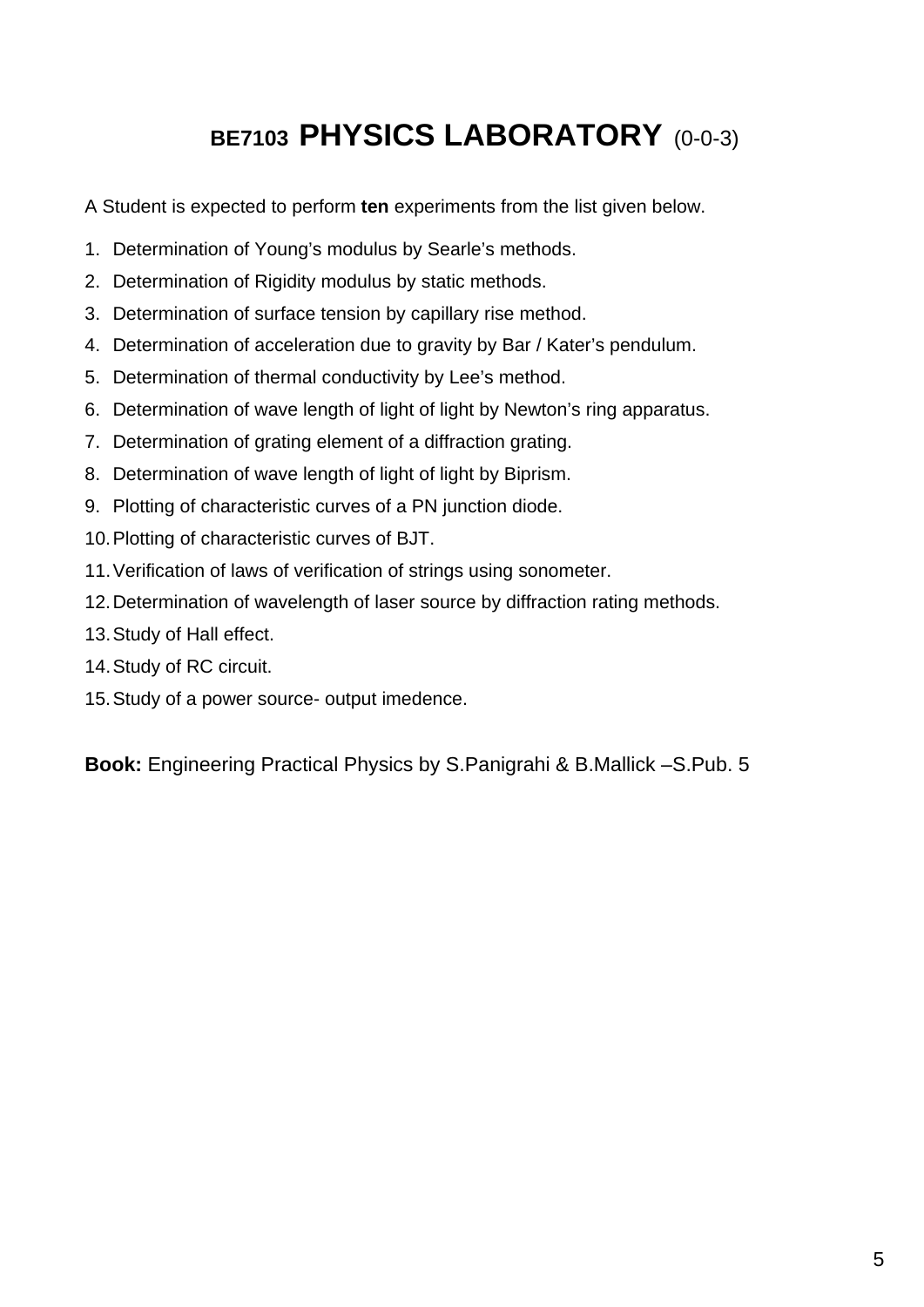## BE7103 PHYSICS LABORATORY (0-0-3)

A Student is expected to perform **ten** experiments from the list given below.

- 1. Determination of Young's modulus by Searle's methods.
- 2. Determination of Rigidity modulus by static methods.
- 3. Determination of surface tension by capillary rise method.
- 4. Determination of acceleration due to gravity by Bar / Kater's pendulum.
- 5. Determination of thermal conductivity by Lee's method.
- 6. Determination of wave length of light of light by Newton's ring apparatus.
- 7. Determination of grating element of a diffraction grating.
- 8. Determination of wave length of light of light by Biprism.
- 9. Plotting of characteristic curves of a PN junction diode.
- 10. Plotting of characteristic curves of BJT.
- 11. Verification of laws of verification of strings using sonometer.
- 12. Determination of wavelength of laser source by diffraction rating methods.
- 13. Study of Hall effect.
- 14. Study of RC circuit.
- 15. Study of a power source- output imedence.

**Book:** Engineering Practical Physics by S.Panigrahi & B.Mallick –S.Pub. 5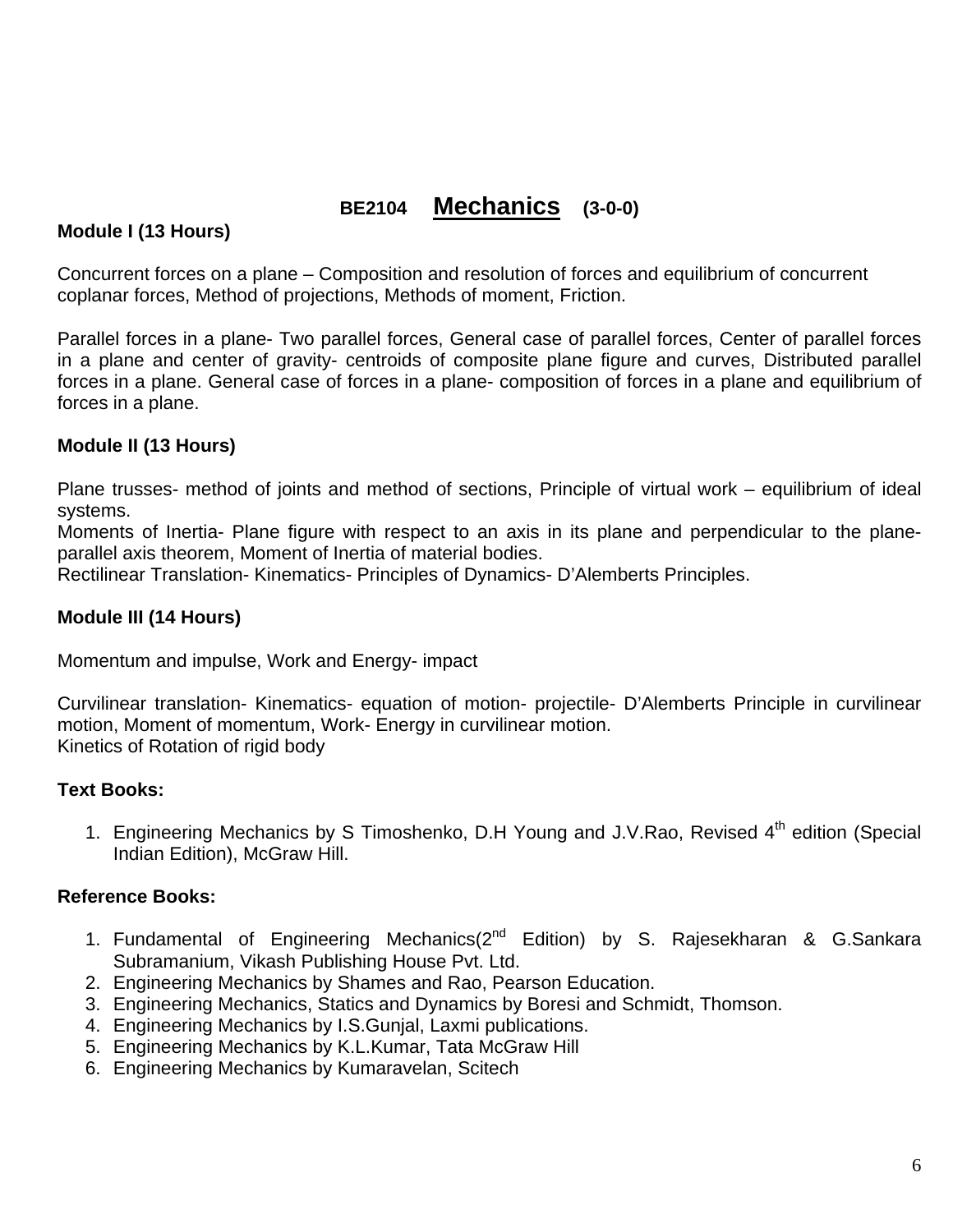## **BE2104 Mechanics (3-0-0)**

#### **Module I (13 Hours)**

Concurrent forces on a plane – Composition and resolution of forces and equilibrium of concurrent coplanar forces, Method of projections, Methods of moment, Friction.

Parallel forces in a plane- Two parallel forces, General case of parallel forces, Center of parallel forces in a plane and center of gravity- centroids of composite plane figure and curves, Distributed parallel forces in a plane. General case of forces in a plane- composition of forces in a plane and equilibrium of forces in a plane.

#### **Module II (13 Hours)**

Plane trusses- method of joints and method of sections, Principle of virtual work – equilibrium of ideal systems.

Moments of Inertia- Plane figure with respect to an axis in its plane and perpendicular to the planeparallel axis theorem, Moment of Inertia of material bodies.

Rectilinear Translation- Kinematics- Principles of Dynamics- D'Alemberts Principles.

#### **Module III (14 Hours)**

Momentum and impulse, Work and Energy- impact

Curvilinear translation- Kinematics- equation of motion- projectile- D'Alemberts Principle in curvilinear motion, Moment of momentum, Work- Energy in curvilinear motion. Kinetics of Rotation of rigid body

#### **Text Books:**

1. Engineering Mechanics by S Timoshenko, D.H Young and J.V.Rao, Revised 4<sup>th</sup> edition (Special Indian Edition), McGraw Hill.

#### **Reference Books:**

- 1. Fundamental of Engineering Mechanics(2<sup>nd</sup> Edition) by S. Rajesekharan & G.Sankara Subramanium, Vikash Publishing House Pvt. Ltd.
- 2. Engineering Mechanics by Shames and Rao, Pearson Education.
- 3. Engineering Mechanics, Statics and Dynamics by Boresi and Schmidt, Thomson.
- 4. Engineering Mechanics by I.S.Gunjal, Laxmi publications.
- 5. Engineering Mechanics by K.L.Kumar, Tata McGraw Hill
- 6. Engineering Mechanics by Kumaravelan, Scitech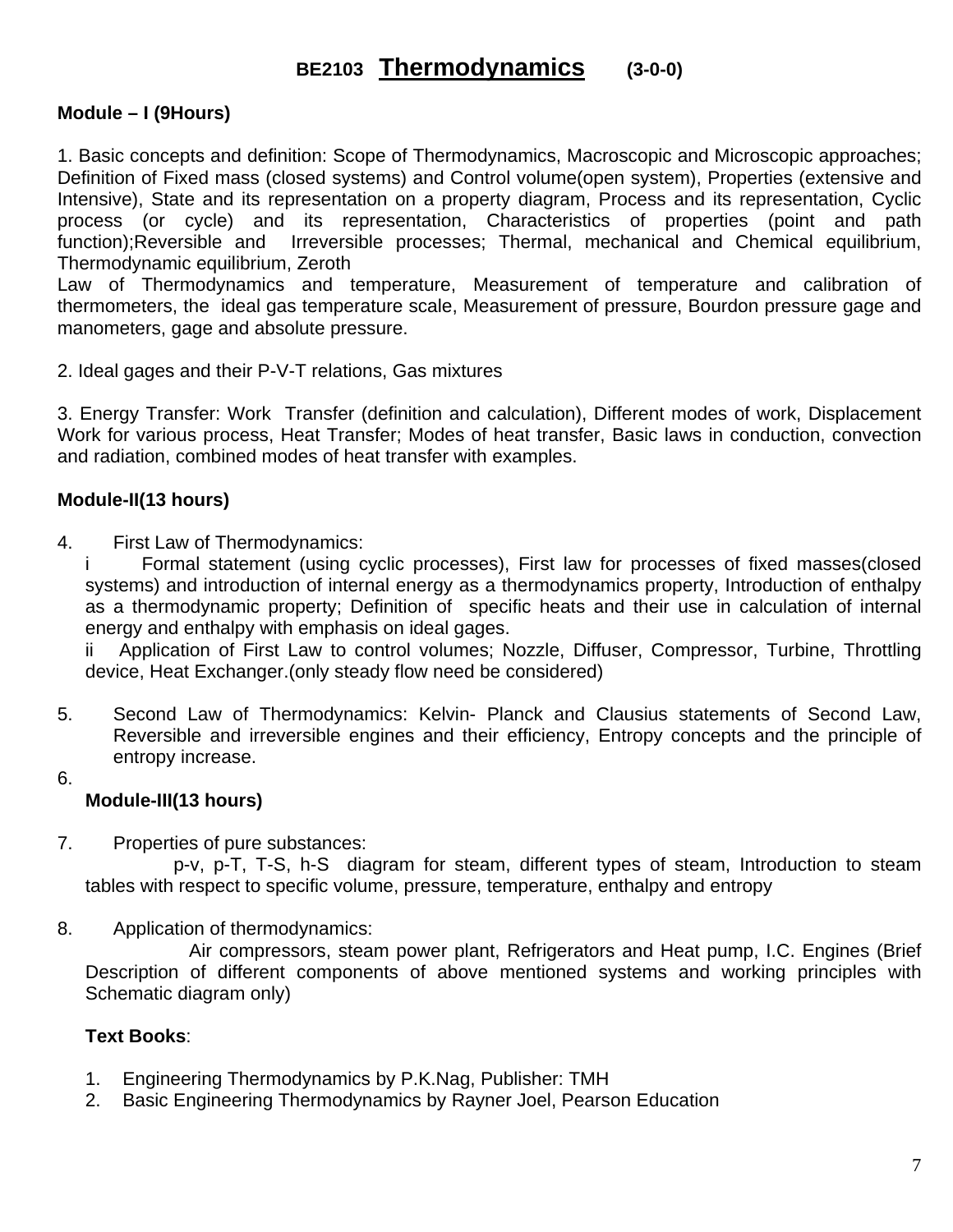## **BE2103 Thermodynamics (3-0-0)**

#### **Module – I (9Hours)**

1. Basic concepts and definition: Scope of Thermodynamics, Macroscopic and Microscopic approaches; Definition of Fixed mass (closed systems) and Control volume(open system), Properties (extensive and Intensive), State and its representation on a property diagram, Process and its representation, Cyclic process (or cycle) and its representation, Characteristics of properties (point and path function);Reversible and Irreversible processes; Thermal, mechanical and Chemical equilibrium, Thermodynamic equilibrium, Zeroth

Law of Thermodynamics and temperature, Measurement of temperature and calibration of thermometers, the ideal gas temperature scale, Measurement of pressure, Bourdon pressure gage and manometers, gage and absolute pressure.

2. Ideal gages and their P-V-T relations, Gas mixtures

3. Energy Transfer: Work Transfer (definition and calculation), Different modes of work, Displacement Work for various process, Heat Transfer; Modes of heat transfer, Basic laws in conduction, convection and radiation, combined modes of heat transfer with examples.

#### **Module-II(13 hours)**

4. First Law of Thermodynamics:

i Formal statement (using cyclic processes), First law for processes of fixed masses(closed systems) and introduction of internal energy as a thermodynamics property, Introduction of enthalpy as a thermodynamic property; Definition of specific heats and their use in calculation of internal energy and enthalpy with emphasis on ideal gages.

ii Application of First Law to control volumes; Nozzle, Diffuser, Compressor, Turbine, Throttling device, Heat Exchanger.(only steady flow need be considered)

- 5. Second Law of Thermodynamics: Kelvin- Planck and Clausius statements of Second Law, Reversible and irreversible engines and their efficiency, Entropy concepts and the principle of entropy increase.
- 6.

#### **Module-III(13 hours)**

7. Properties of pure substances:

 p-v, p-T, T-S, h-S diagram for steam, different types of steam, Introduction to steam tables with respect to specific volume, pressure, temperature, enthalpy and entropy

8. Application of thermodynamics:

 Air compressors, steam power plant, Refrigerators and Heat pump, I.C. Engines (Brief Description of different components of above mentioned systems and working principles with Schematic diagram only)

#### **Text Books**:

- 1. Engineering Thermodynamics by P.K.Nag, Publisher: TMH
- 2. Basic Engineering Thermodynamics by Rayner Joel, Pearson Education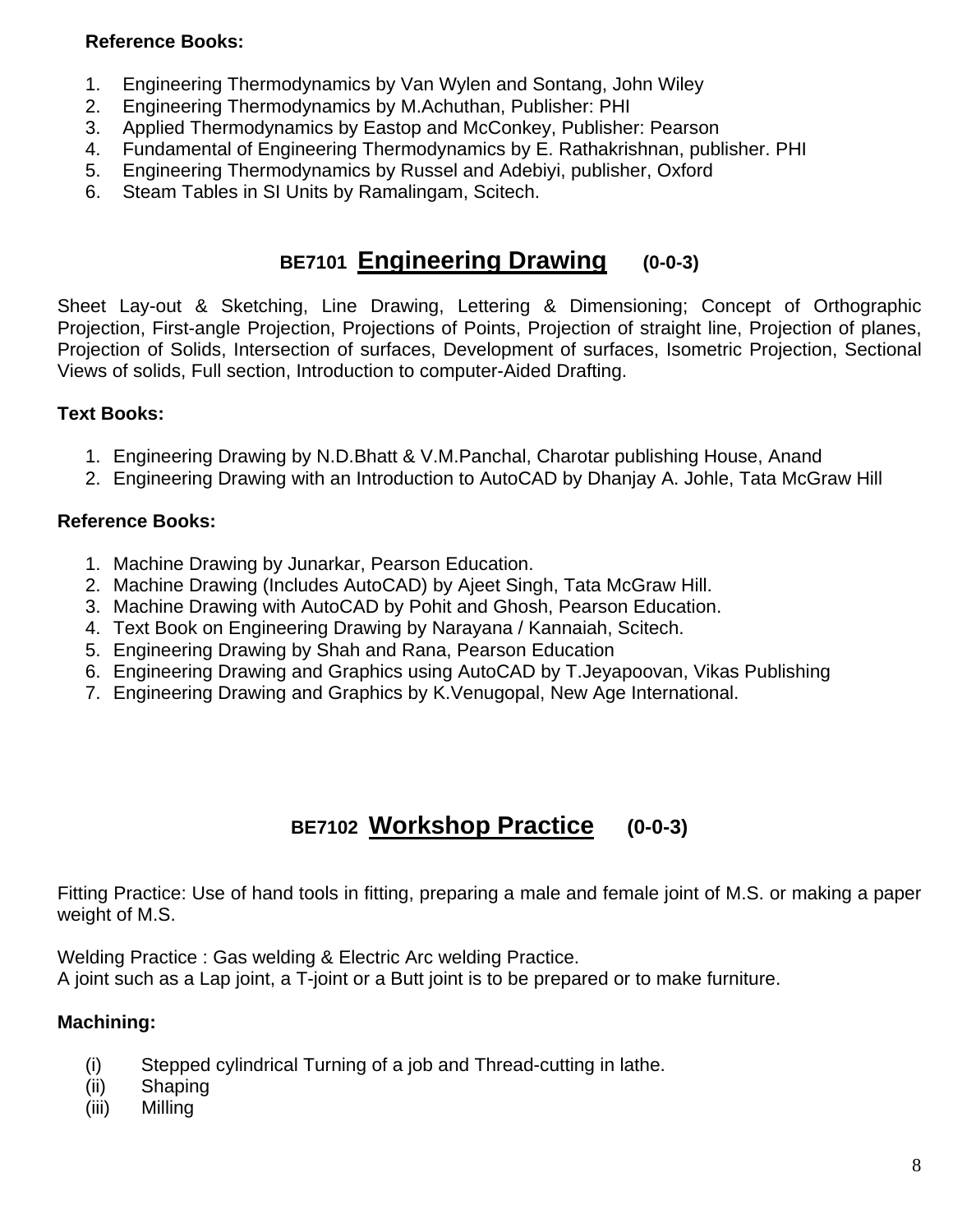#### **Reference Books:**

- 1. Engineering Thermodynamics by Van Wylen and Sontang, John Wiley
- 2. Engineering Thermodynamics by M.Achuthan, Publisher: PHI
- 3. Applied Thermodynamics by Eastop and McConkey, Publisher: Pearson
- 4. Fundamental of Engineering Thermodynamics by E. Rathakrishnan, publisher. PHI
- 5. Engineering Thermodynamics by Russel and Adebiyi, publisher, Oxford
- 6. Steam Tables in SI Units by Ramalingam, Scitech.

## **BE7101 Engineering Drawing (0-0-3)**

Sheet Lay-out & Sketching, Line Drawing, Lettering & Dimensioning; Concept of Orthographic Projection, First-angle Projection, Projections of Points, Projection of straight line, Projection of planes, Projection of Solids, Intersection of surfaces, Development of surfaces, Isometric Projection, Sectional Views of solids, Full section, Introduction to computer-Aided Drafting.

#### **Text Books:**

- 1. Engineering Drawing by N.D.Bhatt & V.M.Panchal, Charotar publishing House, Anand
- 2. Engineering Drawing with an Introduction to AutoCAD by Dhanjay A. Johle, Tata McGraw Hill

#### **Reference Books:**

- 1. Machine Drawing by Junarkar, Pearson Education.
- 2. Machine Drawing (Includes AutoCAD) by Ajeet Singh, Tata McGraw Hill.
- 3. Machine Drawing with AutoCAD by Pohit and Ghosh, Pearson Education.
- 4. Text Book on Engineering Drawing by Narayana / Kannaiah, Scitech.
- 5. Engineering Drawing by Shah and Rana, Pearson Education
- 6. Engineering Drawing and Graphics using AutoCAD by T.Jeyapoovan, Vikas Publishing
- 7. Engineering Drawing and Graphics by K.Venugopal, New Age International.

## **BE7102 Workshop Practice (0-0-3)**

Fitting Practice: Use of hand tools in fitting, preparing a male and female joint of M.S. or making a paper weight of M.S.

Welding Practice : Gas welding & Electric Arc welding Practice.

A joint such as a Lap joint, a T-joint or a Butt joint is to be prepared or to make furniture.

#### **Machining:**

- (i) Stepped cylindrical Turning of a job and Thread-cutting in lathe.
- (ii) Shaping
- (iii) Milling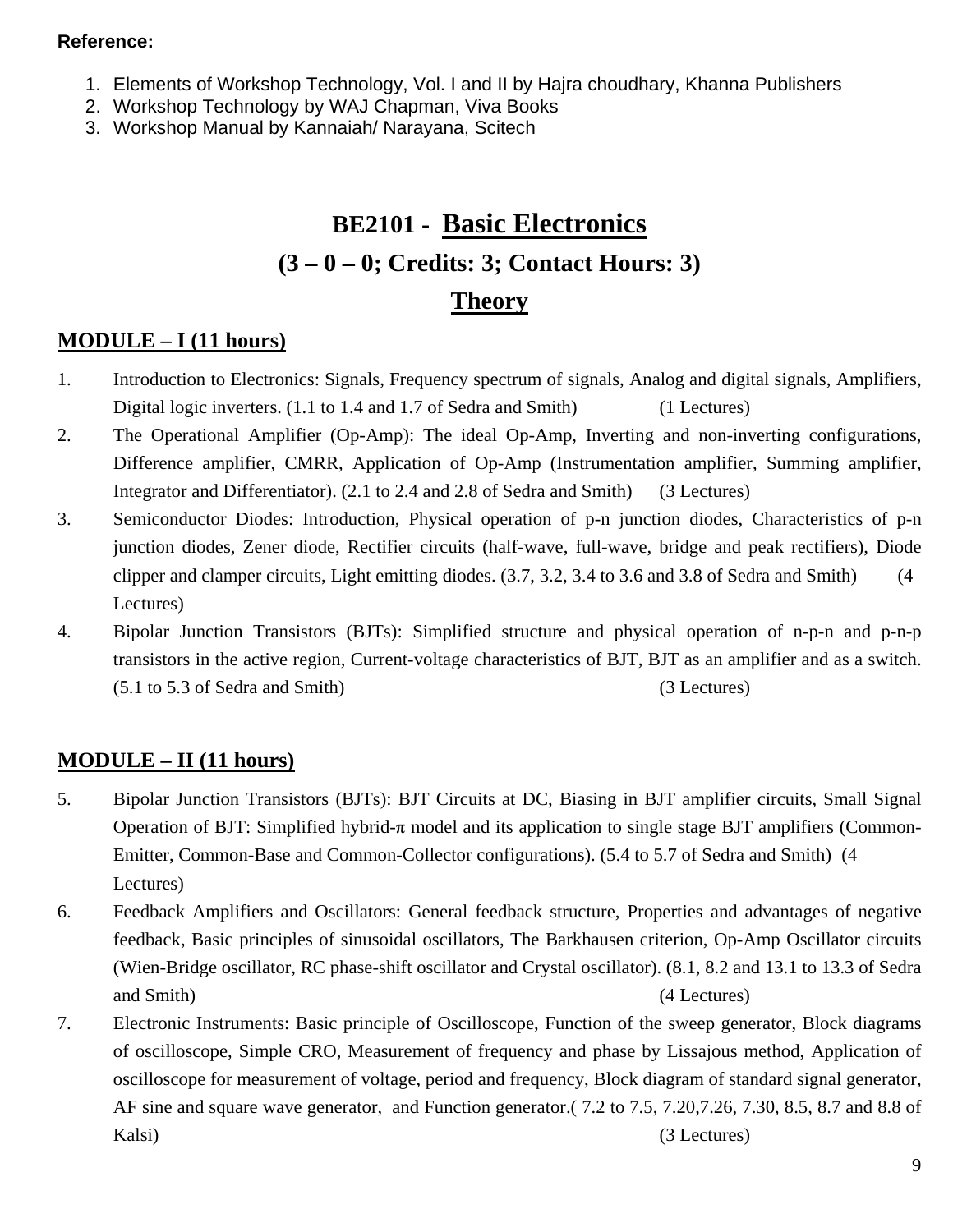#### **Reference:**

- 1. Elements of Workshop Technology, Vol. I and II by Hajra choudhary, Khanna Publishers
- 2. Workshop Technology by WAJ Chapman, Viva Books
- 3. Workshop Manual by Kannaiah/ Narayana, Scitech

## **BE2101 - Basic Electronics (3 – 0 – 0; Credits: 3; Contact Hours: 3) Theory**

### **MODULE – I (11 hours)**

- 1. Introduction to Electronics: Signals, Frequency spectrum of signals, Analog and digital signals, Amplifiers, Digital logic inverters. (1.1 to 1.4 and 1.7 of Sedra and Smith) (1 Lectures)
- 2. The Operational Amplifier (Op-Amp): The ideal Op-Amp, Inverting and non-inverting configurations, Difference amplifier, CMRR, Application of Op-Amp (Instrumentation amplifier, Summing amplifier, Integrator and Differentiator). (2.1 to 2.4 and 2.8 of Sedra and Smith) (3 Lectures)
- 3. Semiconductor Diodes: Introduction, Physical operation of p-n junction diodes, Characteristics of p-n junction diodes, Zener diode, Rectifier circuits (half-wave, full-wave, bridge and peak rectifiers), Diode clipper and clamper circuits, Light emitting diodes. (3.7, 3.2, 3.4 to 3.6 and 3.8 of Sedra and Smith) (4 Lectures)
- 4. Bipolar Junction Transistors (BJTs): Simplified structure and physical operation of n-p-n and p-n-p transistors in the active region, Current-voltage characteristics of BJT, BJT as an amplifier and as a switch. (5.1 to 5.3 of Sedra and Smith) (3 Lectures)

### **MODULE – II (11 hours)**

- 5. Bipolar Junction Transistors (BJTs): BJT Circuits at DC, Biasing in BJT amplifier circuits, Small Signal Operation of BJT: Simplified hybrid-π model and its application to single stage BJT amplifiers (Common-Emitter, Common-Base and Common-Collector configurations). (5.4 to 5.7 of Sedra and Smith) (4 Lectures)
- 6. Feedback Amplifiers and Oscillators: General feedback structure, Properties and advantages of negative feedback, Basic principles of sinusoidal oscillators, The Barkhausen criterion, Op-Amp Oscillator circuits (Wien-Bridge oscillator, RC phase-shift oscillator and Crystal oscillator). (8.1, 8.2 and 13.1 to 13.3 of Sedra and Smith) (4 Lectures)
- 7. Electronic Instruments: Basic principle of Oscilloscope, Function of the sweep generator, Block diagrams of oscilloscope, Simple CRO, Measurement of frequency and phase by Lissajous method, Application of oscilloscope for measurement of voltage, period and frequency, Block diagram of standard signal generator, AF sine and square wave generator, and Function generator.( 7.2 to 7.5, 7.20,7.26, 7.30, 8.5, 8.7 and 8.8 of Kalsi) (3 Lectures) (3 Lectures)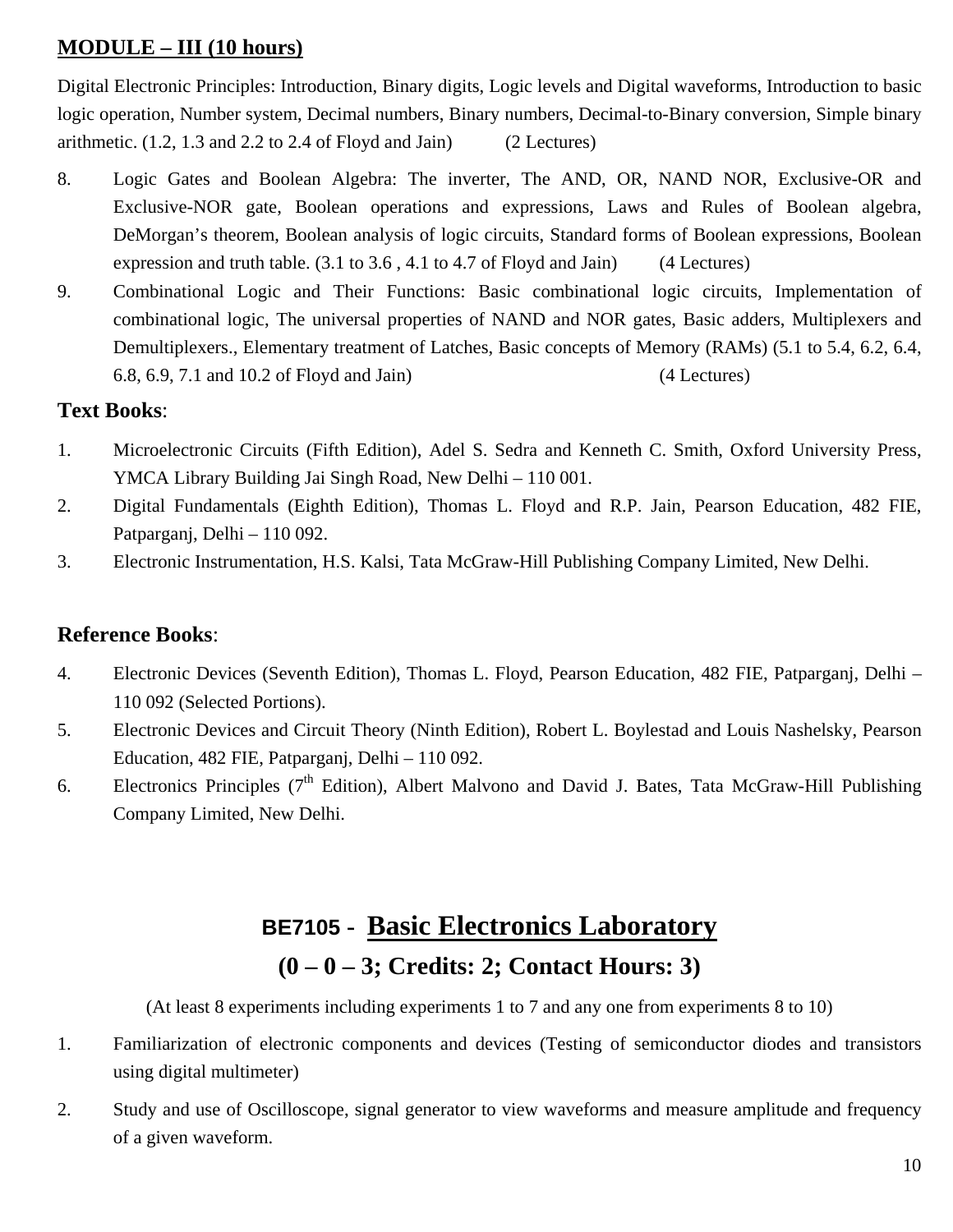### **MODULE – III (10 hours)**

Digital Electronic Principles: Introduction, Binary digits, Logic levels and Digital waveforms, Introduction to basic logic operation, Number system, Decimal numbers, Binary numbers, Decimal-to-Binary conversion, Simple binary arithmetic.  $(1.2, 1.3 \text{ and } 2.2 \text{ to } 2.4 \text{ of Floyd and Jain})$   $(2 \text{ Lectures})$ 

- 8. Logic Gates and Boolean Algebra: The inverter, The AND, OR, NAND NOR, Exclusive-OR and Exclusive-NOR gate, Boolean operations and expressions, Laws and Rules of Boolean algebra, DeMorgan's theorem, Boolean analysis of logic circuits, Standard forms of Boolean expressions, Boolean expression and truth table. (3.1 to 3.6 , 4.1 to 4.7 of Floyd and Jain) (4 Lectures)
- 9. Combinational Logic and Their Functions: Basic combinational logic circuits, Implementation of combinational logic, The universal properties of NAND and NOR gates, Basic adders, Multiplexers and Demultiplexers., Elementary treatment of Latches, Basic concepts of Memory (RAMs) (5.1 to 5.4, 6.2, 6.4, 6.8, 6.9, 7.1 and 10.2 of Floyd and Jain) (4 Lectures)

#### **Text Books**:

- 1. Microelectronic Circuits (Fifth Edition), Adel S. Sedra and Kenneth C. Smith, Oxford University Press, YMCA Library Building Jai Singh Road, New Delhi – 110 001.
- 2. Digital Fundamentals (Eighth Edition), Thomas L. Floyd and R.P. Jain, Pearson Education, 482 FIE, Patparganj, Delhi – 110 092.
- 3. Electronic Instrumentation, H.S. Kalsi, Tata McGraw-Hill Publishing Company Limited, New Delhi.

### **Reference Books**:

- 4. Electronic Devices (Seventh Edition), Thomas L. Floyd, Pearson Education, 482 FIE, Patparganj, Delhi 110 092 (Selected Portions).
- 5. Electronic Devices and Circuit Theory (Ninth Edition), Robert L. Boylestad and Louis Nashelsky, Pearson Education, 482 FIE, Patparganj, Delhi – 110 092.
- 6. Electronics Principles  $(7<sup>th</sup> Edition)$ , Albert Malvono and David J. Bates, Tata McGraw-Hill Publishing Company Limited, New Delhi.

## **BE7105 - Basic Electronics Laboratory (0 – 0 – 3; Credits: 2; Contact Hours: 3)**

(At least 8 experiments including experiments 1 to 7 and any one from experiments 8 to 10)

- 1. Familiarization of electronic components and devices (Testing of semiconductor diodes and transistors using digital multimeter)
- 2. Study and use of Oscilloscope, signal generator to view waveforms and measure amplitude and frequency of a given waveform.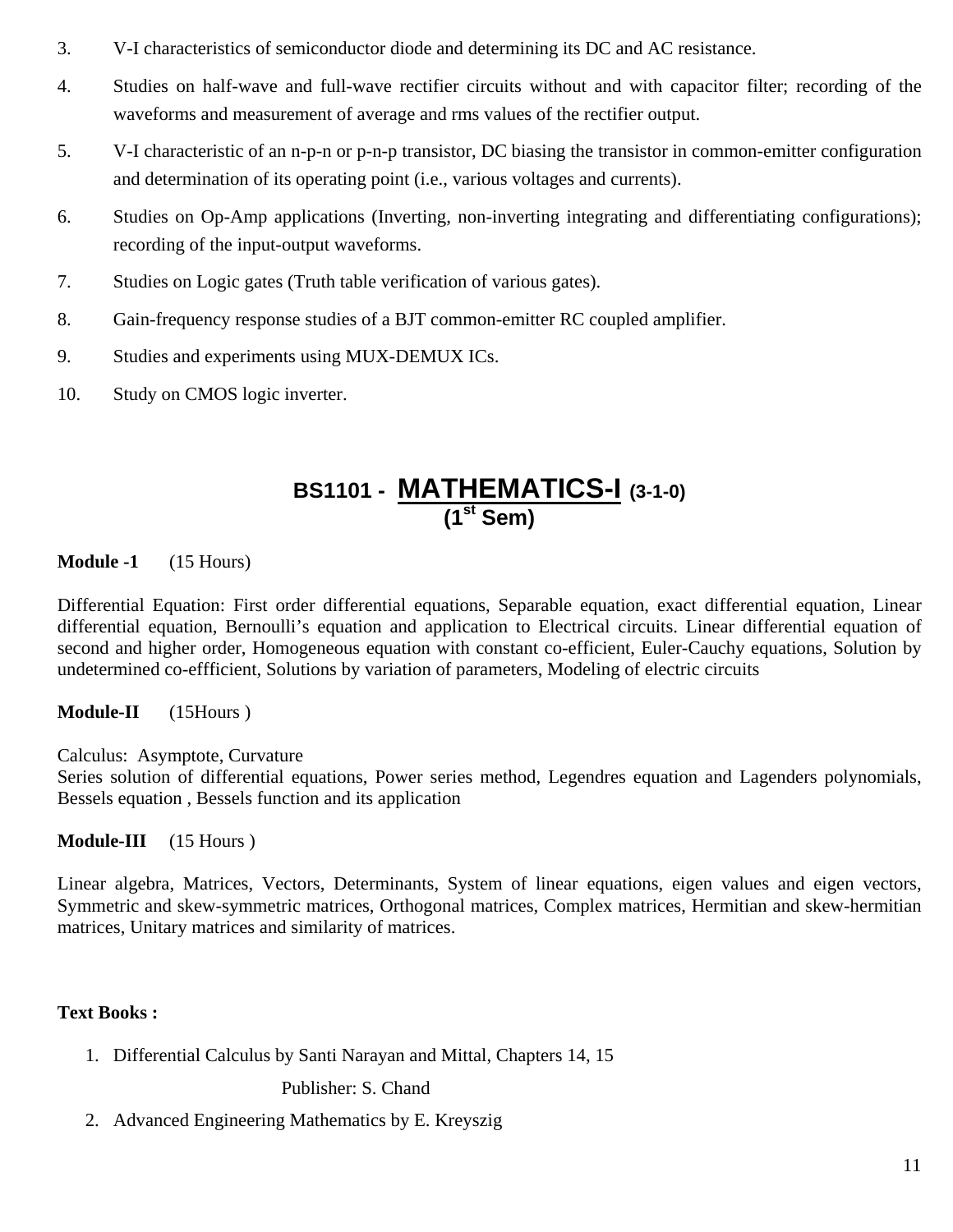- 3. V-I characteristics of semiconductor diode and determining its DC and AC resistance.
- 4. Studies on half-wave and full-wave rectifier circuits without and with capacitor filter; recording of the waveforms and measurement of average and rms values of the rectifier output.
- 5. V-I characteristic of an n-p-n or p-n-p transistor, DC biasing the transistor in common-emitter configuration and determination of its operating point (i.e., various voltages and currents).
- 6. Studies on Op-Amp applications (Inverting, non-inverting integrating and differentiating configurations); recording of the input-output waveforms.
- 7. Studies on Logic gates (Truth table verification of various gates).
- 8. Gain-frequency response studies of a BJT common-emitter RC coupled amplifier.
- 9. Studies and experiments using MUX-DEMUX ICs.
- 10. Study on CMOS logic inverter.

## **BS1101 - MATHEMATICS-I (3-1-0) (1st Sem)**

#### **Module -1** (15 Hours)

Differential Equation: First order differential equations, Separable equation, exact differential equation, Linear differential equation, Bernoulli's equation and application to Electrical circuits. Linear differential equation of second and higher order, Homogeneous equation with constant co-efficient, Euler-Cauchy equations, Solution by undetermined co-effficient, Solutions by variation of parameters, Modeling of electric circuits

**Module-II** (15Hours )

Calculus: Asymptote, Curvature

Series solution of differential equations, Power series method, Legendres equation and Lagenders polynomials, Bessels equation , Bessels function and its application

**Module-III** (15 Hours )

Linear algebra, Matrices, Vectors, Determinants, System of linear equations, eigen values and eigen vectors, Symmetric and skew-symmetric matrices, Orthogonal matrices, Complex matrices, Hermitian and skew-hermitian matrices, Unitary matrices and similarity of matrices.

#### **Text Books :**

1. Differential Calculus by Santi Narayan and Mittal, Chapters 14, 15

Publisher: S. Chand

2. Advanced Engineering Mathematics by E. Kreyszig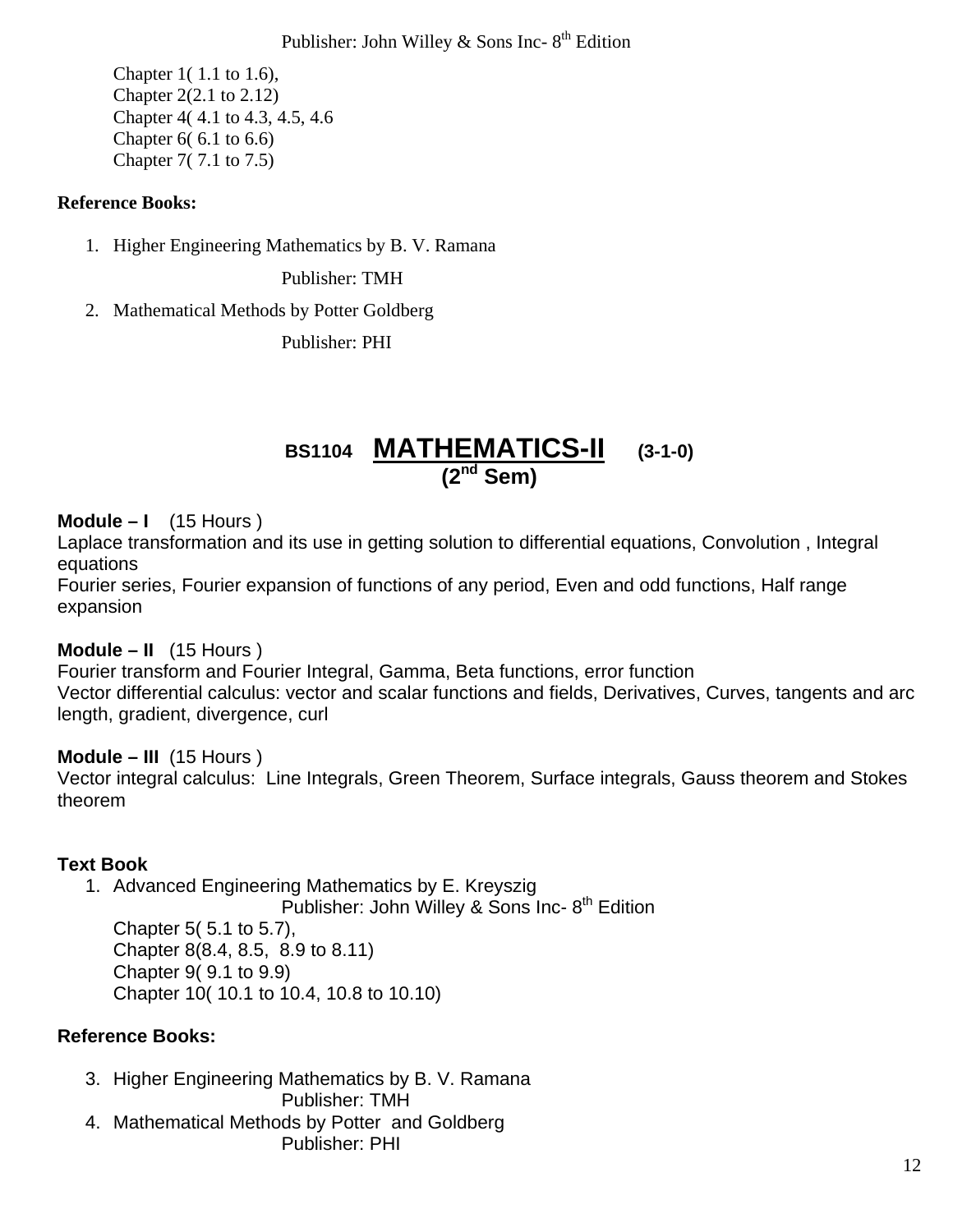#### Publisher: John Willey & Sons Inc-  $8<sup>th</sup>$  Edition

 Chapter 1( 1.1 to 1.6), Chapter 2(2.1 to 2.12) Chapter 4( 4.1 to 4.3, 4.5, 4.6 Chapter 6( 6.1 to 6.6) Chapter 7( 7.1 to 7.5)

#### **Reference Books:**

1. Higher Engineering Mathematics by B. V. Ramana

Publisher: TMH

2. Mathematical Methods by Potter Goldberg

Publisher: PHI

## **BS1104 MATHEMATICS-II (3-1-0) (2nd Sem)**

#### **Module – I** (15 Hours )

Laplace transformation and its use in getting solution to differential equations, Convolution , Integral equations

Fourier series, Fourier expansion of functions of any period, Even and odd functions, Half range expansion

#### **Module – II** (15 Hours )

Fourier transform and Fourier Integral, Gamma, Beta functions, error function Vector differential calculus: vector and scalar functions and fields, Derivatives, Curves, tangents and arc length, gradient, divergence, curl

#### **Module – III** (15 Hours )

Vector integral calculus: Line Integrals, Green Theorem, Surface integrals, Gauss theorem and Stokes theorem

#### **Text Book**

1. Advanced Engineering Mathematics by E. Kreyszig

Publisher: John Willey & Sons Inc- $8<sup>th</sup>$  Edition Chapter 5( 5.1 to 5.7), Chapter 8(8.4, 8.5, 8.9 to 8.11) Chapter 9( 9.1 to 9.9) Chapter 10( 10.1 to 10.4, 10.8 to 10.10)

#### **Reference Books:**

3. Higher Engineering Mathematics by B. V. Ramana

Publisher: TMH 4. Mathematical Methods by Potter and Goldberg

Publisher: PHI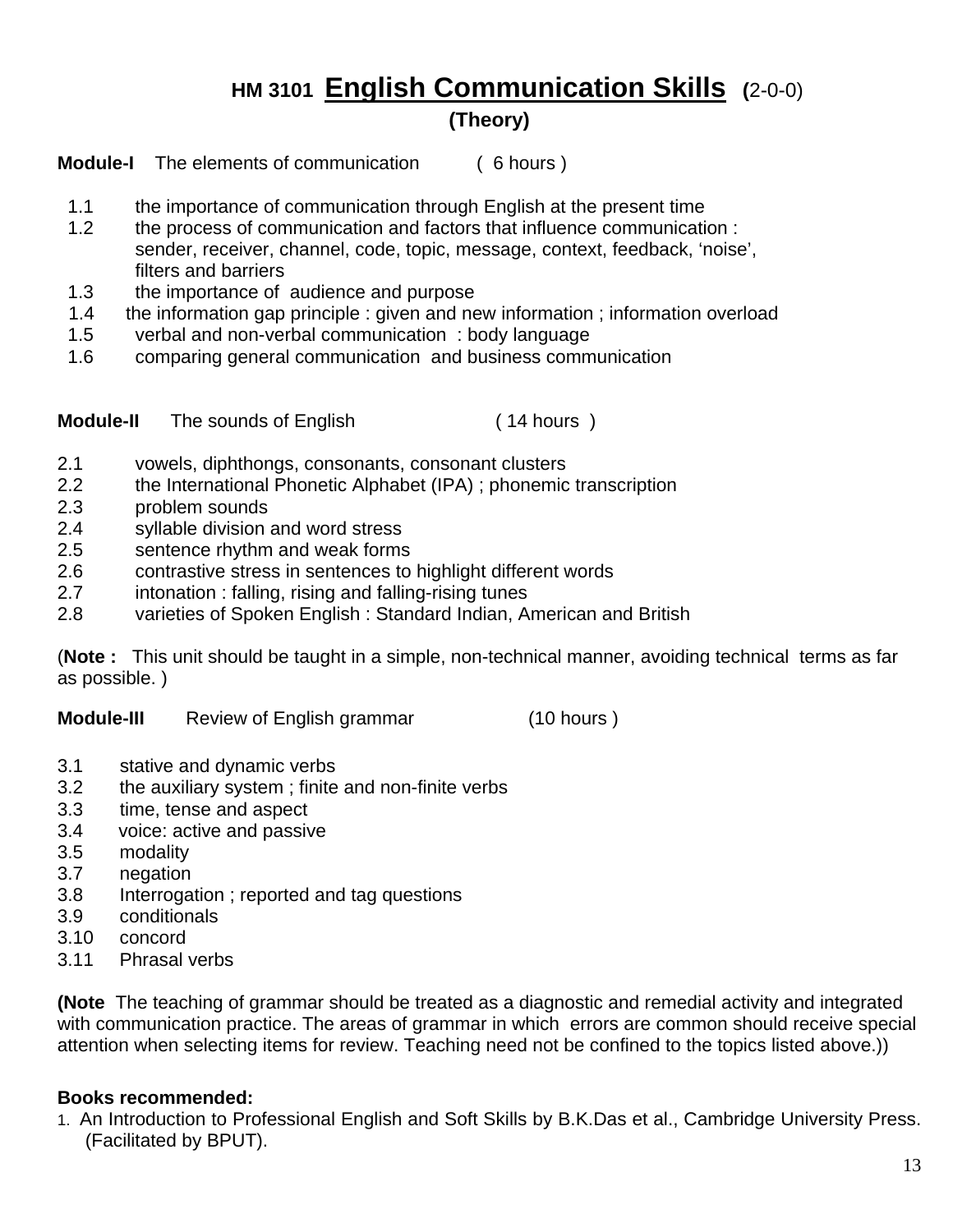# **HM 3101 English Communication Skills (**2-0-0)

**(Theory)**

**Module-I** The elements of communication ( 6 hours )

- 1.1 the importance of communication through English at the present time
- 1.2 the process of communication and factors that influence communication : sender, receiver, channel, code, topic, message, context, feedback, 'noise', filters and barriers
- 1.3 the importance of audience and purpose
- 1.4 the information gap principle : given and new information ; information overload
- 1.5 verbal and non-verbal communication : body language
- 1.6 comparing general communication and business communication

**Module-II** The sounds of English ( 14 hours )

- 2.1 vowels, diphthongs, consonants, consonant clusters
- 2.2 the International Phonetic Alphabet (IPA) ; phonemic transcription
- 2.3 problem sounds
- 2.4 syllable division and word stress
- 2.5 sentence rhythm and weak forms
- 2.6 contrastive stress in sentences to highlight different words
- 2.7 intonation : falling, rising and falling-rising tunes
- 2.8 varieties of Spoken English : Standard Indian, American and British

(**Note :** This unit should be taught in a simple, non-technical manner, avoiding technical terms as far as possible. )

**Module-III**Review of English grammar (10 hours )

- 3.1 stative and dynamic verbs
- 3.2 the auxiliary system ; finite and non-finite verbs
- 3.3 time, tense and aspect
- 3.4 voice: active and passive
- 3.5 modality
- 3.7 negation
- 3.8 Interrogation ; reported and tag questions
- 3.9 conditionals
- 3.10 concord
- 3.11 Phrasal verbs

**(Note** The teaching of grammar should be treated as a diagnostic and remedial activity and integrated with communication practice. The areas of grammar in which errors are common should receive special attention when selecting items for review. Teaching need not be confined to the topics listed above.))

#### **Books recommended:**

1. An Introduction to Professional English and Soft Skills by B.K.Das et al., Cambridge University Press. (Facilitated by BPUT).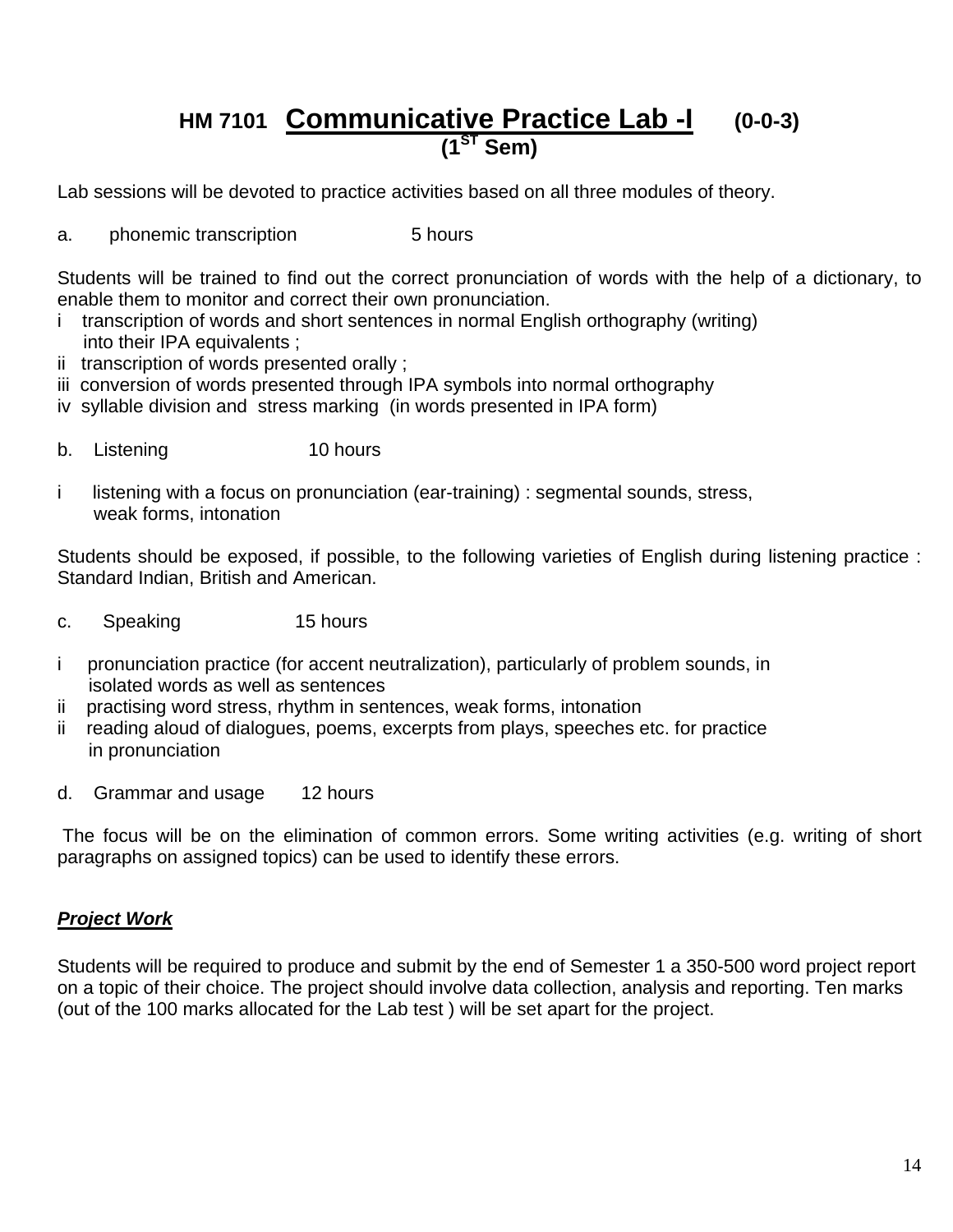## **HM 7101 Communicative Practice Lab -I (0-0-3) (1ST Sem)**

Lab sessions will be devoted to practice activities based on all three modules of theory.

a. phonemic transcription 5 hours

Students will be trained to find out the correct pronunciation of words with the help of a dictionary, to enable them to monitor and correct their own pronunciation.

- i transcription of words and short sentences in normal English orthography (writing) into their IPA equivalents ;
- ii transcription of words presented orally ;
- iii conversion of words presented through IPA symbols into normal orthography
- iv syllable division and stress marking (in words presented in IPA form)
- b. Listening 10 hours
- i listening with a focus on pronunciation (ear-training) : segmental sounds, stress, weak forms, intonation

Students should be exposed, if possible, to the following varieties of English during listening practice : Standard Indian, British and American.

- c. Speaking 15 hours
- i pronunciation practice (for accent neutralization), particularly of problem sounds, in isolated words as well as sentences
- ii practising word stress, rhythm in sentences, weak forms, intonation
- ii reading aloud of dialogues, poems, excerpts from plays, speeches etc. for practice in pronunciation
- d. Grammar and usage 12 hours

 The focus will be on the elimination of common errors. Some writing activities (e.g. writing of short paragraphs on assigned topics) can be used to identify these errors.

#### *Project Work*

Students will be required to produce and submit by the end of Semester 1 a 350-500 word project report on a topic of their choice. The project should involve data collection, analysis and reporting. Ten marks (out of the 100 marks allocated for the Lab test ) will be set apart for the project.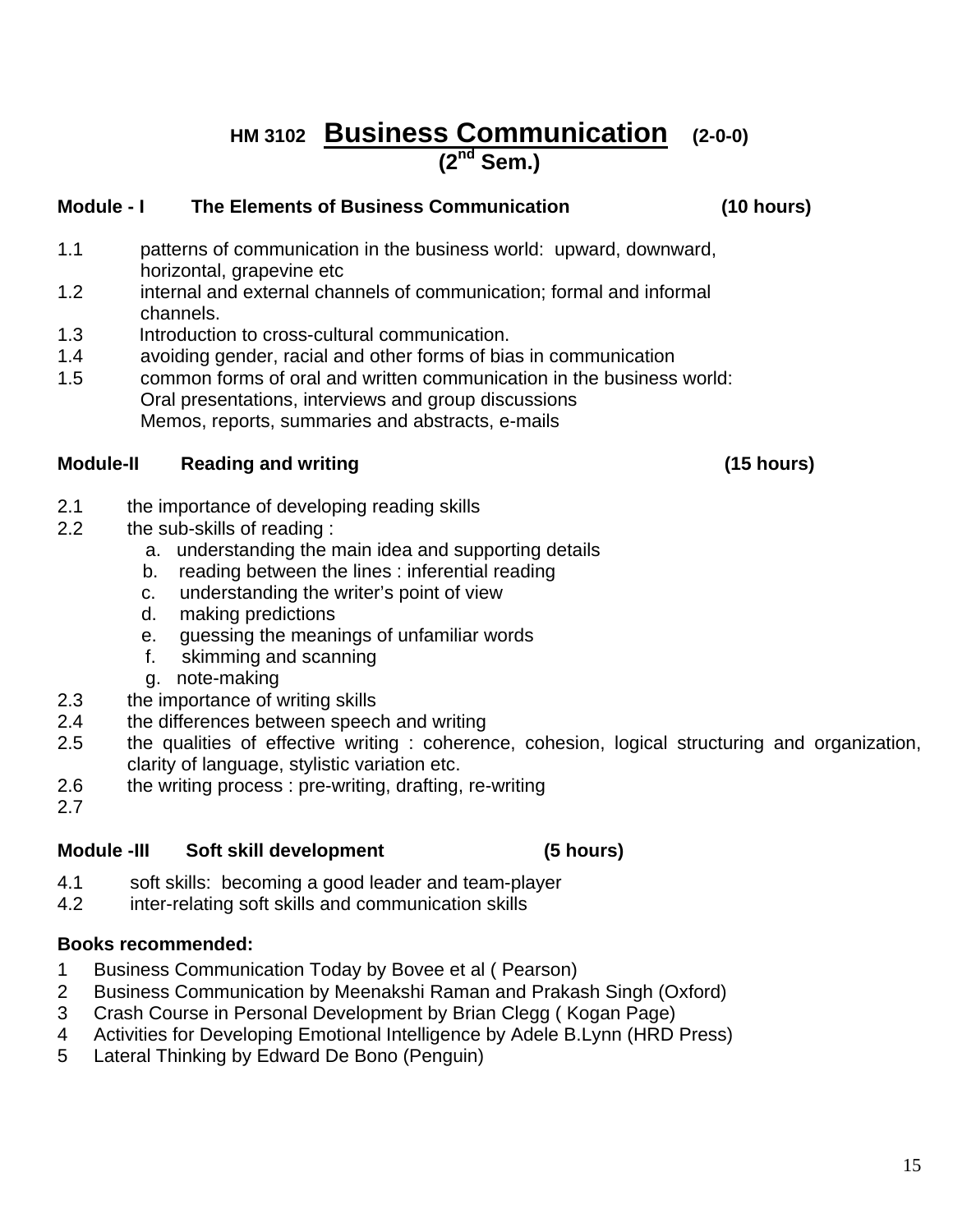## **HM 3102 Business Communication (2-0-0) (2nd Sem.)**

#### **Module - I The Elements of Business Communication (10 hours)**

- 1.1 patterns of communication in the business world: upward, downward, horizontal, grapevine etc
- 1.2 internal and external channels of communication; formal and informal channels.
- 1.3 Introduction to cross-cultural communication.
- 1.4 avoiding gender, racial and other forms of bias in communication
- 1.5 common forms of oral and written communication in the business world: Oral presentations, interviews and group discussions Memos, reports, summaries and abstracts, e-mails

#### **Module-II Reading and writing (15 hours)**

- 2.1 the importance of developing reading skills
- 2.2 the sub-skills of reading :
	- a. understanding the main idea and supporting details
	- b. reading between the lines : inferential reading
	- c. understanding the writer's point of view
	- d. making predictions
	- e. guessing the meanings of unfamiliar words
	- f. skimming and scanning
	- g. note-making
- 2.3 the importance of writing skills
- 2.4 the differences between speech and writing
- 2.5 the qualities of effective writing : coherence, cohesion, logical structuring and organization, clarity of language, stylistic variation etc.
- 2.6 the writing process : pre-writing, drafting, re-writing
- 2.7

#### **Module -III Soft skill development (5 hours)**

- 4.1 soft skills: becoming a good leader and team-player
- 4.2 inter-relating soft skills and communication skills

#### **Books recommended:**

- 1 Business Communication Today by Bovee et al ( Pearson)
- 2 Business Communication by Meenakshi Raman and Prakash Singh (Oxford)
- 3 Crash Course in Personal Development by Brian Clegg ( Kogan Page)
- 4 Activities for Developing Emotional Intelligence by Adele B.Lynn (HRD Press)
- 5 Lateral Thinking by Edward De Bono (Penguin)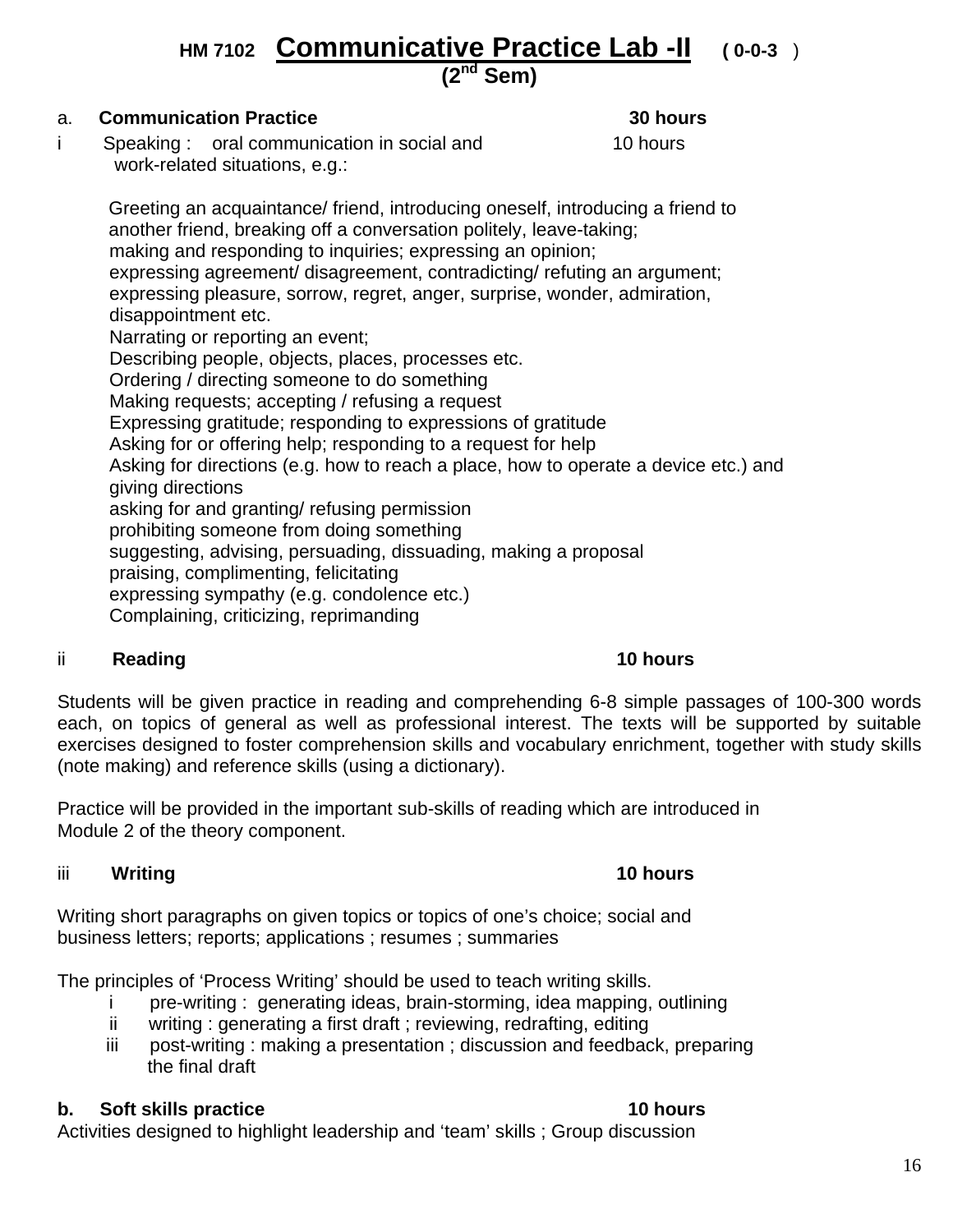## **HM 7102 Communicative Practice Lab -II ( 0-0-3** ) **(2nd Sem)**

#### a. **Communication Practice 30 hours**

i Speaking : oral communication in social and 10 hours work-related situations, e.g.:

 Greeting an acquaintance/ friend, introducing oneself, introducing a friend to another friend, breaking off a conversation politely, leave-taking; making and responding to inquiries; expressing an opinion; expressing agreement/ disagreement, contradicting/ refuting an argument; expressing pleasure, sorrow, regret, anger, surprise, wonder, admiration, disappointment etc. Narrating or reporting an event; Describing people, objects, places, processes etc. Ordering / directing someone to do something Making requests; accepting / refusing a request Expressing gratitude; responding to expressions of gratitude Asking for or offering help; responding to a request for help Asking for directions (e.g. how to reach a place, how to operate a device etc.) and giving directions asking for and granting/ refusing permission prohibiting someone from doing something suggesting, advising, persuading, dissuading, making a proposal praising, complimenting, felicitating expressing sympathy (e.g. condolence etc.) Complaining, criticizing, reprimanding

#### ii Reading **10 hours 10 hours**

Students will be given practice in reading and comprehending 6-8 simple passages of 100-300 words each, on topics of general as well as professional interest. The texts will be supported by suitable exercises designed to foster comprehension skills and vocabulary enrichment, together with study skills (note making) and reference skills (using a dictionary).

Practice will be provided in the important sub-skills of reading which are introduced in Module 2 of the theory component.

#### iii **Writing 10 hours**

Writing short paragraphs on given topics or topics of one's choice; social and business letters; reports; applications ; resumes ; summaries

The principles of 'Process Writing' should be used to teach writing skills.

- i pre-writing : generating ideas, brain-storming, idea mapping, outlining
- ii writing : generating a first draft ; reviewing, redrafting, editing
- iii post-writing : making a presentation ; discussion and feedback, preparing the final draft

#### **b. Soft skills practice 10 hours**

Activities designed to highlight leadership and 'team' skills ; Group discussion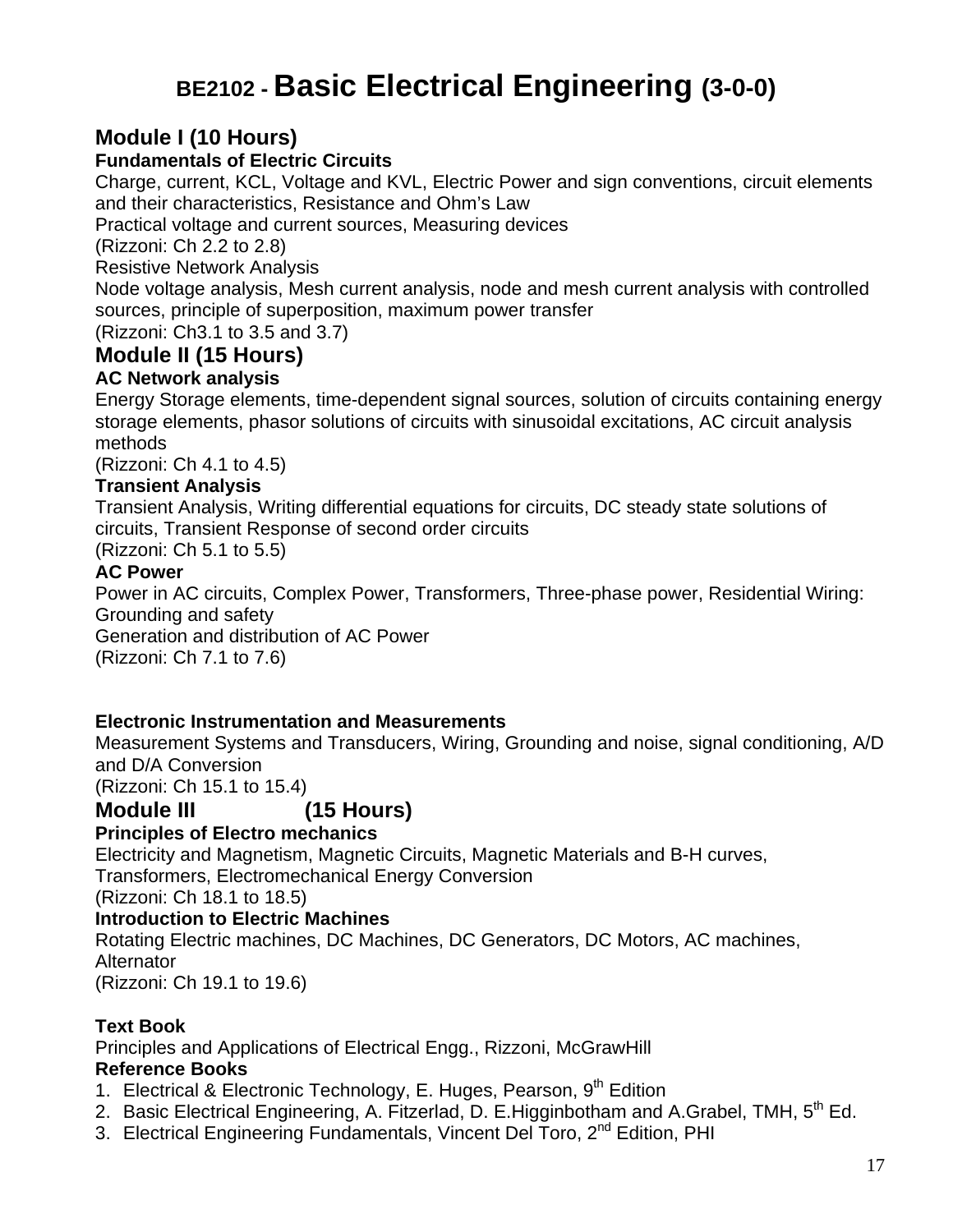## **BE2102 - Basic Electrical Engineering (3-0-0)**

### **Module I (10 Hours)**

#### **Fundamentals of Electric Circuits**

Charge, current, KCL, Voltage and KVL, Electric Power and sign conventions, circuit elements and their characteristics, Resistance and Ohm's Law

Practical voltage and current sources, Measuring devices

(Rizzoni: Ch 2.2 to 2.8)

Resistive Network Analysis

Node voltage analysis, Mesh current analysis, node and mesh current analysis with controlled sources, principle of superposition, maximum power transfer

(Rizzoni: Ch3.1 to 3.5 and 3.7)

## **Module II (15 Hours)**

### **AC Network analysis**

Energy Storage elements, time-dependent signal sources, solution of circuits containing energy storage elements, phasor solutions of circuits with sinusoidal excitations, AC circuit analysis methods

(Rizzoni: Ch 4.1 to 4.5)

#### **Transient Analysis**

Transient Analysis, Writing differential equations for circuits, DC steady state solutions of circuits, Transient Response of second order circuits

(Rizzoni: Ch 5.1 to 5.5)

#### **AC Power**

Power in AC circuits, Complex Power, Transformers, Three-phase power, Residential Wiring: Grounding and safety

Generation and distribution of AC Power

(Rizzoni: Ch 7.1 to 7.6)

#### **Electronic Instrumentation and Measurements**

Measurement Systems and Transducers, Wiring, Grounding and noise, signal conditioning, A/D and D/A Conversion

(Rizzoni: Ch 15.1 to 15.4)

### **Module III (15 Hours)**

#### **Principles of Electro mechanics**

Electricity and Magnetism, Magnetic Circuits, Magnetic Materials and B-H curves, Transformers, Electromechanical Energy Conversion

(Rizzoni: Ch 18.1 to 18.5)

#### **Introduction to Electric Machines**

Rotating Electric machines, DC Machines, DC Generators, DC Motors, AC machines, **Alternator** (Rizzoni: Ch 19.1 to 19.6)

#### **Text Book**

Principles and Applications of Electrical Engg., Rizzoni, McGrawHill

#### **Reference Books**

- 1. Electrical & Electronic Technology, E. Huges, Pearson, 9<sup>th</sup> Edition
- 2. Basic Electrical Engineering, A. Fitzerlad, D. E. Higginbotham and A. Grabel, TMH, 5<sup>th</sup> Ed.
- 3. Electrical Engineering Fundamentals, Vincent Del Toro, 2<sup>nd</sup> Edition, PHI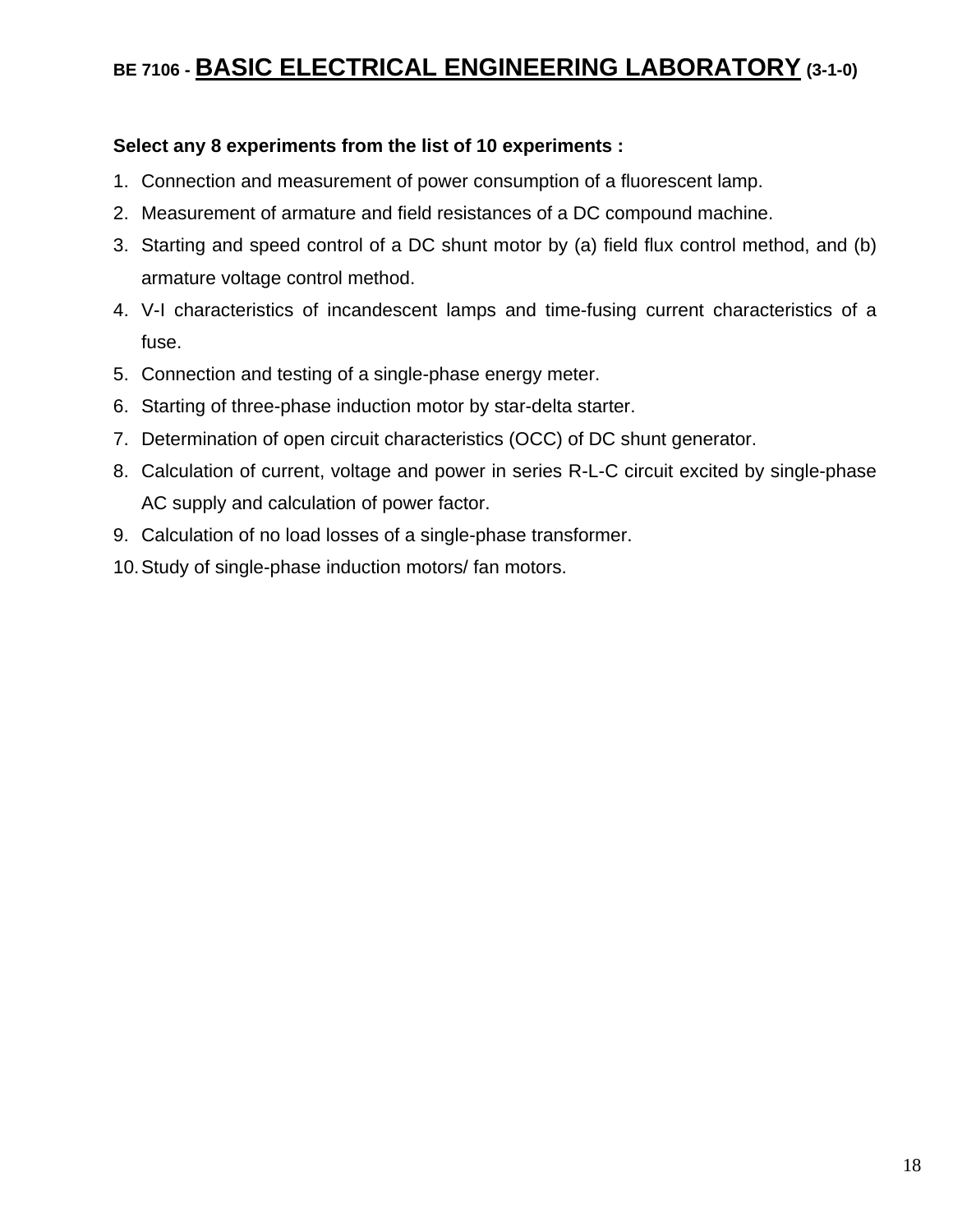## **BE 7106 - BASIC ELECTRICAL ENGINEERING LABORATORY (3-1-0)**

#### **Select any 8 experiments from the list of 10 experiments :**

- 1. Connection and measurement of power consumption of a fluorescent lamp.
- 2. Measurement of armature and field resistances of a DC compound machine.
- 3. Starting and speed control of a DC shunt motor by (a) field flux control method, and (b) armature voltage control method.
- 4. V-I characteristics of incandescent lamps and time-fusing current characteristics of a fuse.
- 5. Connection and testing of a single-phase energy meter.
- 6. Starting of three-phase induction motor by star-delta starter.
- 7. Determination of open circuit characteristics (OCC) of DC shunt generator.
- 8. Calculation of current, voltage and power in series R-L-C circuit excited by single-phase AC supply and calculation of power factor.
- 9. Calculation of no load losses of a single-phase transformer.
- 10. Study of single-phase induction motors/ fan motors.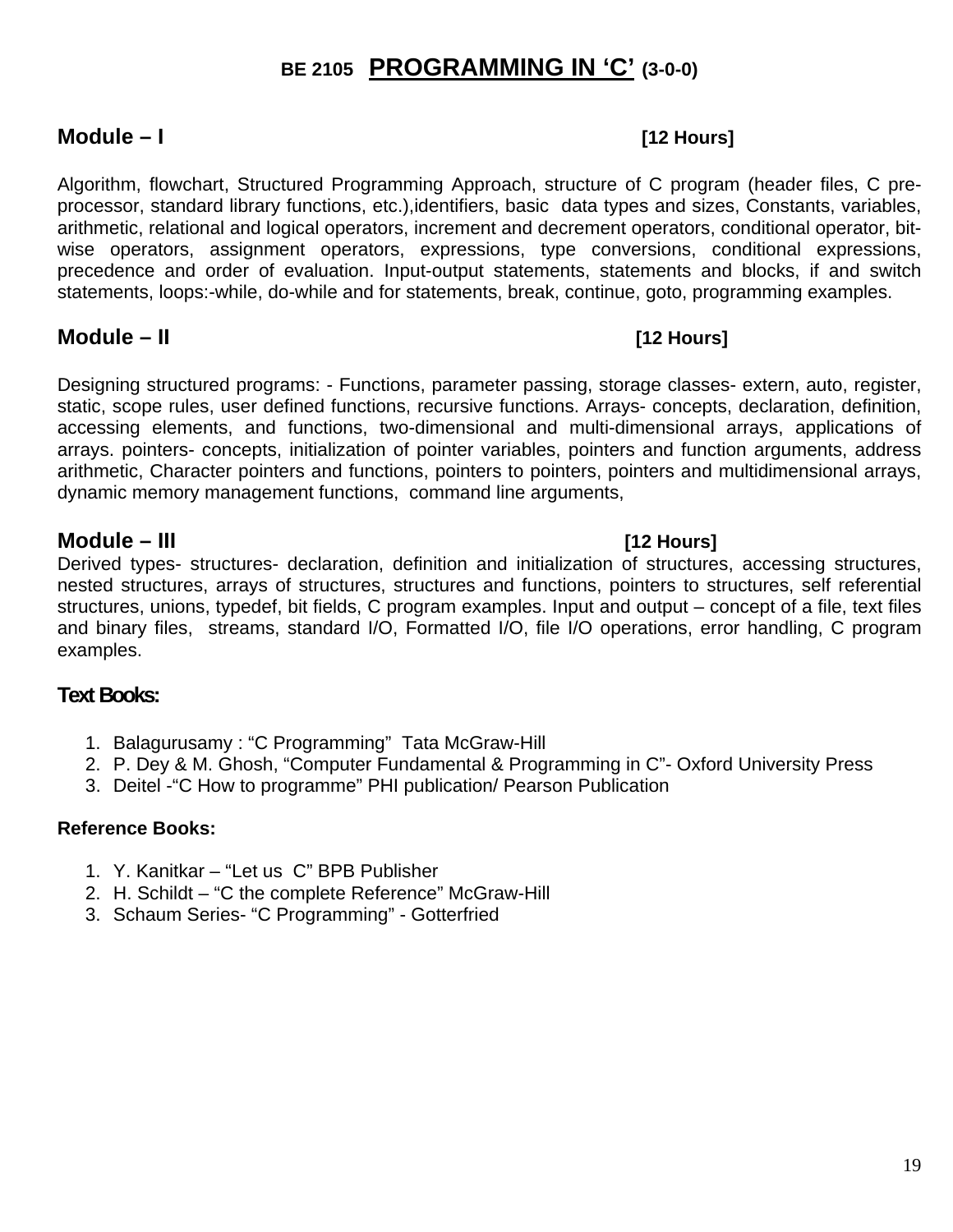## **BE 2105 PROGRAMMING IN 'C' (3-0-0)**

#### **Module – I [12 Hours]**

Algorithm, flowchart, Structured Programming Approach, structure of C program (header files, C preprocessor, standard library functions, etc.),identifiers, basic data types and sizes, Constants, variables, arithmetic, relational and logical operators, increment and decrement operators, conditional operator, bitwise operators, assignment operators, expressions, type conversions, conditional expressions, precedence and order of evaluation. Input-output statements, statements and blocks, if and switch statements, loops:-while, do-while and for statements, break, continue, goto, programming examples.

#### **Module – II [12 Hours]**

Designing structured programs: - Functions, parameter passing, storage classes- extern, auto, register, static, scope rules, user defined functions, recursive functions. Arrays- concepts, declaration, definition, accessing elements, and functions, two-dimensional and multi-dimensional arrays, applications of arrays. pointers- concepts, initialization of pointer variables, pointers and function arguments, address arithmetic, Character pointers and functions, pointers to pointers, pointers and multidimensional arrays, dynamic memory management functions, command line arguments,

#### **Module – III [12 Hours]**

Derived types- structures- declaration, definition and initialization of structures, accessing structures, nested structures, arrays of structures, structures and functions, pointers to structures, self referential structures, unions, typedef, bit fields, C program examples. Input and output – concept of a file, text files and binary files, streams, standard I/O, Formatted I/O, file I/O operations, error handling, C program examples.

#### **Text Books:**

- 1. Balagurusamy : "C Programming" Tata McGraw-Hill
- 2. P. Dey & M. Ghosh, "Computer Fundamental & Programming in C"- Oxford University Press
- 3. Deitel -"C How to programme" PHI publication/ Pearson Publication

#### **Reference Books:**

- 1. Y. Kanitkar "Let us C" BPB Publisher
- 2. H. Schildt "C the complete Reference" McGraw-Hill
- 3. Schaum Series- "C Programming" Gotterfried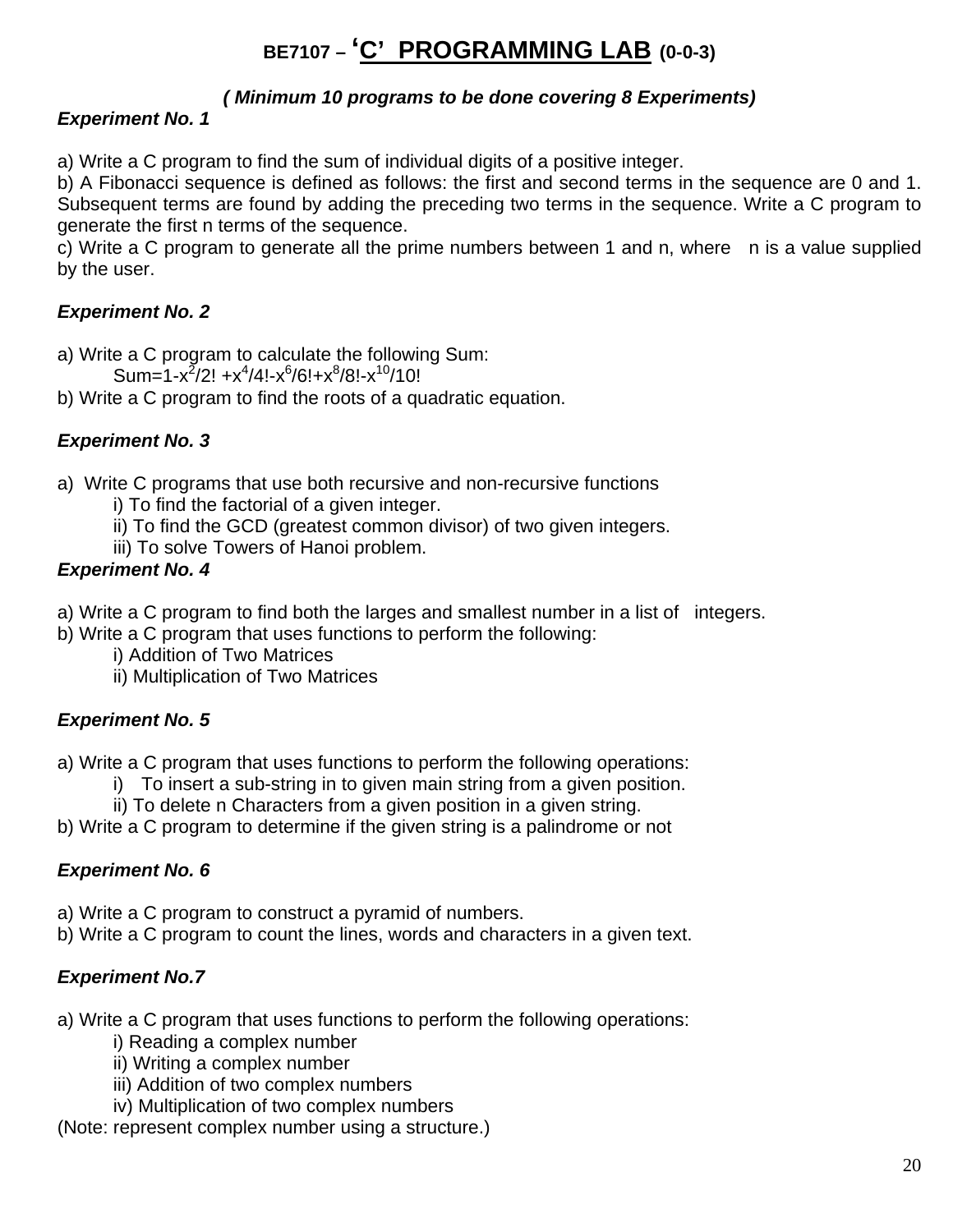## **BE7107 – 'C' PROGRAMMING LAB (0-0-3)**

#### *( Minimum 10 programs to be done covering 8 Experiments)*

### *Experiment No. 1*

a) Write a C program to find the sum of individual digits of a positive integer.

b) A Fibonacci sequence is defined as follows: the first and second terms in the sequence are 0 and 1. Subsequent terms are found by adding the preceding two terms in the sequence. Write a C program to generate the first n terms of the sequence.

c) Write a C program to generate all the prime numbers between 1 and n, where n is a value supplied by the user.

#### *Experiment No. 2*

- a) Write a C program to calculate the following Sum:
- Sum=1-x<sup>2</sup>/2! +x<sup>4</sup>/4!-x<sup>6</sup>/6!+x<sup>8</sup>/8!-x<sup>10</sup>/10!
- b) Write a C program to find the roots of a quadratic equation.

#### *Experiment No. 3*

- a) Write C programs that use both recursive and non-recursive functions
	- i) To find the factorial of a given integer.
	- ii) To find the GCD (greatest common divisor) of two given integers.
	- iii) To solve Towers of Hanoi problem.

#### *Experiment No. 4*

- a) Write a C program to find both the larges and smallest number in a list of integers.
- b) Write a C program that uses functions to perform the following:
	- i) Addition of Two Matrices
	- ii) Multiplication of Two Matrices

### *Experiment No. 5*

a) Write a C program that uses functions to perform the following operations:

- i) To insert a sub-string in to given main string from a given position.
- ii) To delete n Characters from a given position in a given string.
- b) Write a C program to determine if the given string is a palindrome or not

#### *Experiment No. 6*

- a) Write a C program to construct a pyramid of numbers.
- b) Write a C program to count the lines, words and characters in a given text.

#### *Experiment No.7*

a) Write a C program that uses functions to perform the following operations:

- i) Reading a complex number
- ii) Writing a complex number
- iii) Addition of two complex numbers

iv) Multiplication of two complex numbers

(Note: represent complex number using a structure.)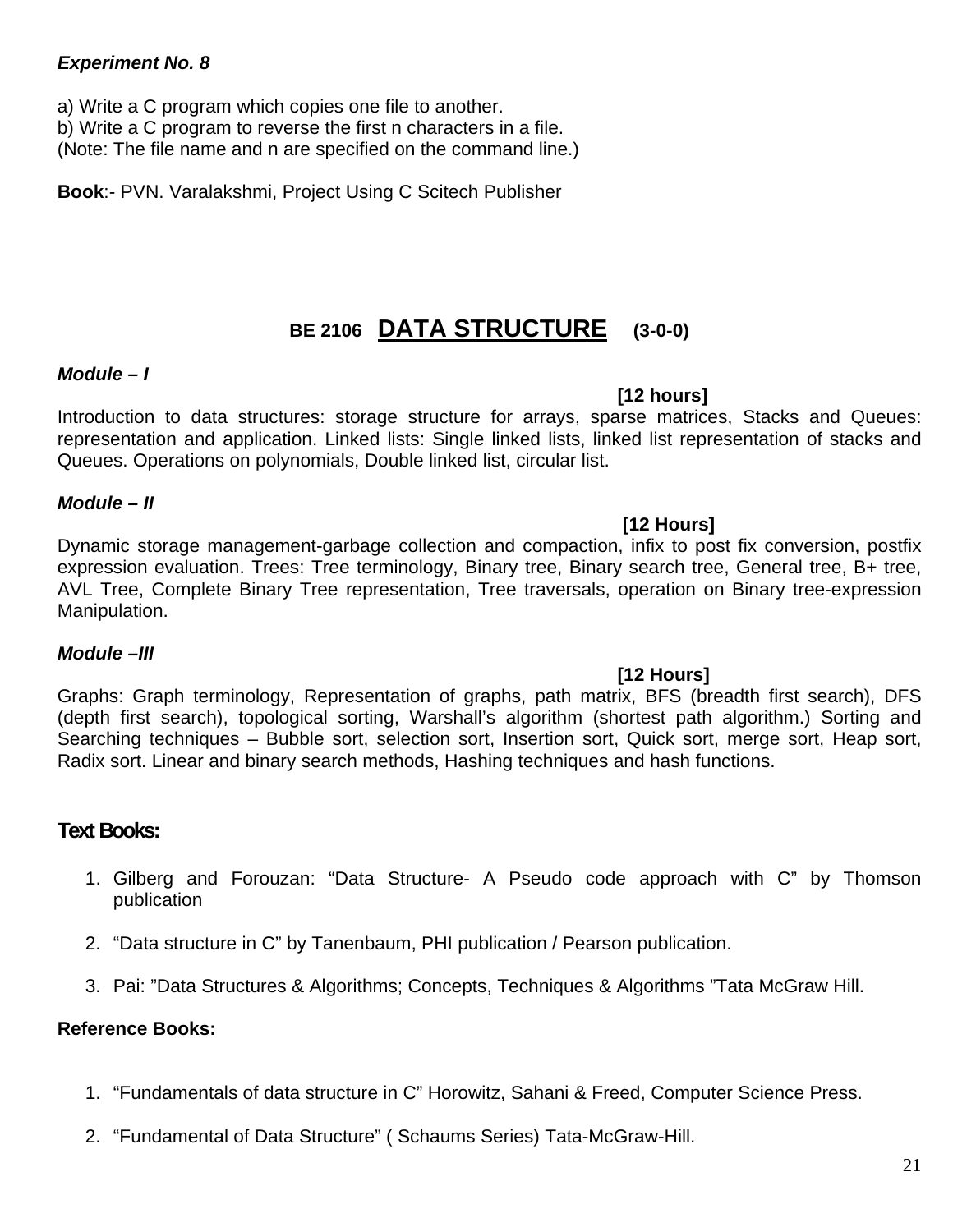#### *Experiment No. 8*

a) Write a C program which copies one file to another.

b) Write a C program to reverse the first n characters in a file.

(Note: The file name and n are specified on the command line.)

**Book**:- PVN. Varalakshmi, Project Using C Scitech Publisher

## **BE 2106 DATA STRUCTURE (3-0-0)**

#### *Module – I*

#### **[12 hours]**

Introduction to data structures: storage structure for arrays, sparse matrices, Stacks and Queues: representation and application. Linked lists: Single linked lists, linked list representation of stacks and Queues. Operations on polynomials, Double linked list, circular list.

#### *Module – II*

 **[12 Hours]**  Dynamic storage management-garbage collection and compaction, infix to post fix conversion, postfix expression evaluation. Trees: Tree terminology, Binary tree, Binary search tree, General tree, B+ tree, AVL Tree, Complete Binary Tree representation, Tree traversals, operation on Binary tree-expression Manipulation.

#### *Module –III*

#### **[12 Hours]**

Graphs: Graph terminology, Representation of graphs, path matrix, BFS (breadth first search), DFS (depth first search), topological sorting, Warshall's algorithm (shortest path algorithm.) Sorting and Searching techniques – Bubble sort, selection sort, Insertion sort, Quick sort, merge sort, Heap sort, Radix sort. Linear and binary search methods, Hashing techniques and hash functions.

#### **Text Books:**

- 1. Gilberg and Forouzan: "Data Structure- A Pseudo code approach with C" by Thomson publication
- 2. "Data structure in C" by Tanenbaum, PHI publication / Pearson publication.
- 3. Pai: "Data Structures & Algorithms; Concepts, Techniques & Algorithms "Tata McGraw Hill.

#### **Reference Books:**

- 1. "Fundamentals of data structure in C" Horowitz, Sahani & Freed, Computer Science Press.
- 2. "Fundamental of Data Structure" ( Schaums Series) Tata-McGraw-Hill.